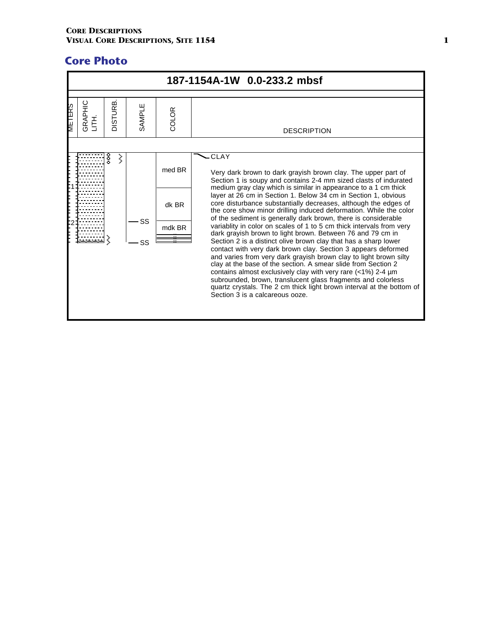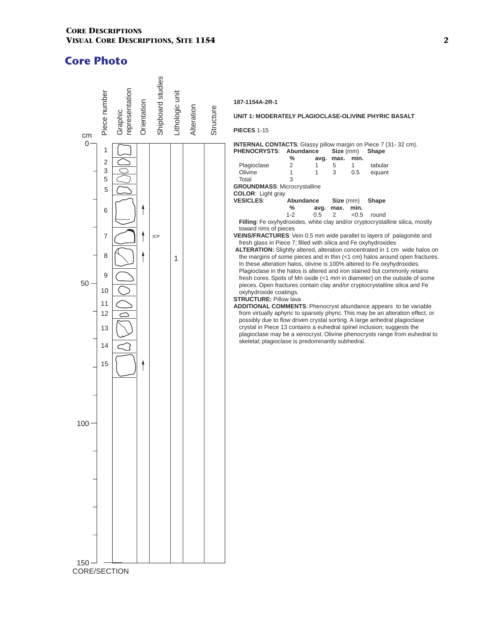

#### **187-1154A-2R-1**

#### **UNIT 1: MODERATELY PLAGIOCLASE-OLIVINE PHYRIC BASALT**

**PIECES** 1-15

#### **INTERNAL CONTACTS**: Glassy pillow margin on Piece 7 (31- 32 cm). **PHENOCRYSTS**: **Abundance Size** (mm) **Shape**

|         |                          | .                                                |      |                                                                                      |
|---------|--------------------------|--------------------------------------------------|------|--------------------------------------------------------------------------------------|
| ℅       | avq.                     | max.                                             | min. |                                                                                      |
| 2       | 1                        | 5                                                |      | tabular                                                                              |
|         | 1                        | 3                                                | 0.5  | equant                                                                               |
| 3       |                          |                                                  |      |                                                                                      |
|         |                          |                                                  |      |                                                                                      |
|         |                          |                                                  |      |                                                                                      |
|         |                          |                                                  |      |                                                                                      |
| %       | avg.                     | max.                                             | min. |                                                                                      |
| $1 - 2$ | 0.5                      | $\mathcal{P}$                                    | <0.5 | round                                                                                |
|         |                          |                                                  |      |                                                                                      |
|         | <b>COLOR: Light gray</b> | <b>GROUNDMASS: Microcrystalline</b><br>Abundance |      | Size (mm) Shape<br>Filling: Fe oxyhydroxides, white clay and/or cryptocrystalline si |

**Filica**, mostly toward rims of pieces

- **VEINS/FRACTURES**: Vein 0.5 mm wide parallel to layers of palagonite and fresh glass in Piece 7; filled with silica and Fe oxyhydroxides
- **ALTERATION:** Slightly altered, alteration concentrated in 1 cm wide halos on the margins of some pieces and in thin (<1 cm) halos around open fractures. In these alteration halos, olivine is 100% altered to Fe oxyhydroxides. Plagioclase in the halos is altered and iron stained but commonly retains fresh cores. Spots of Mn oxide (<1 mm in diameter) on the outside of some pieces. Open fractures contain clay and/or cryptocrystalline silica and Fe oxyhydroxide coatings.

#### **STRUCTURE: Pillow lava**

**ADDITIONAL COMMENTS**: Phenocryst abundance appears to be variable from virtually aphyric to sparsely phyric. This may be an alteration effect, or possibly due to flow driven crystal sorting. A large anhedral plagioclase crystal in Piece 13 contains a euhedral spinel inclusion; suggests the plagioclase may be a xenocryst. Olivine phenocrysts range from euhedral to skeletal; plagioclase is predominantly subhedral.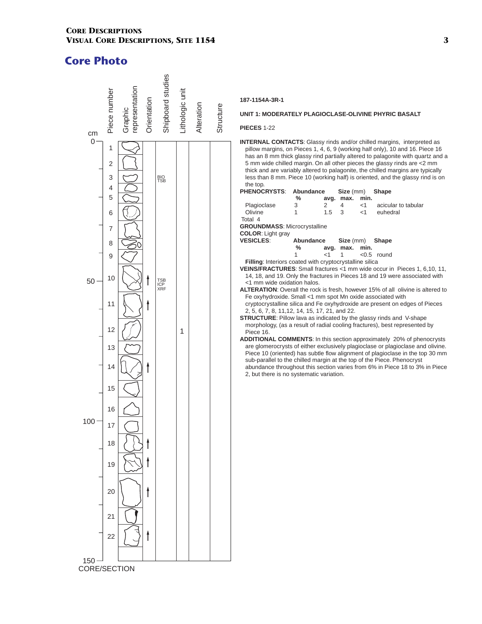

## **187-1154A-3R-1**

#### **UNIT 1: MODERATELY PLAGIOCLASE-OLIVINE PHYRIC BASALT**

#### **PIECES** 1-22

**INTERNAL CONTACTS**: Glassy rinds and/or chilled margins, interpreted as pillow margins, on Pieces 1, 4, 6, 9 (working half only), 10 and 16. Piece 16 has an 8 mm thick glassy rind partially altered to palagonite with quartz and a 5 mm wide chilled margin. On all other pieces the glassy rinds are <2 mm thick and are variably altered to palagonite, the chilled margins are typically less than 8 mm. Piece 10 (working half) is oriented, and the glassy rind is on the top. **PHENOCRYSTS**: **Abundance Size** (mm) **Shape** 

|                                                         |           |        | ---- \\\\\\\   |       |                                                                          |
|---------------------------------------------------------|-----------|--------|----------------|-------|--------------------------------------------------------------------------|
|                                                         | %         | avg.   | max.           | min.  |                                                                          |
| Plagioclase                                             | 3         | 2      | 4              | $<$ 1 | acicular to tabular                                                      |
| Olivine                                                 |           | 1.5    | 3              | $<$ 1 | euhedral                                                                 |
| Total 4                                                 |           |        |                |       |                                                                          |
| <b>GROUNDMASS: Microcrystalline</b>                     |           |        |                |       |                                                                          |
| <b>COLOR:</b> Light gray                                |           |        |                |       |                                                                          |
| <b>VESICLES:</b>                                        | Abundance |        | Size (mm)      |       | <b>Shape</b>                                                             |
|                                                         | ℅         |        | avg. max. min. |       |                                                                          |
|                                                         |           | ${<}1$ |                |       | $< 0.5$ round                                                            |
| Filling: Interiors coated with cryptocrystalline silica |           |        |                |       |                                                                          |
|                                                         |           |        |                |       | VEINS/FRACTURES: Small fractures <1 mm wide occur in Pieces 1, 6,10, 11, |
|                                                         |           |        |                |       |                                                                          |

- 14, 18, and 19. Only the fractures in Pieces 18 and 19 were associated with <1 mm wide oxidation halos.
- **ALTERATION**: Overall the rock is fresh, however 15% of all olivine is altered to Fe oxyhydroxide. Small <1 mm spot Mn oxide associated with cryptocrystalline silica and Fe oxyhydroxide are present on edges of Pieces 2, 5, 6, 7, 8, 11,12, 14, 15, 17, 21, and 22.
- **STRUCTURE**: Pillow lava as indicated by the glassy rinds and V-shape morphology, (as a result of radial cooling fractures), best represented by Piece 16.
- **ADDITIONAL COMMENTS**: In this section approximately 20% of phenocrysts are glomerocrysts of either exclusively plagioclase or plagioclase and olivine. Piece 10 (oriented) has subtle flow alignment of plagioclase in the top 30 mm sub-parallel to the chilled margin at the top of the Piece. Phenocryst abundance throughout this section varies from 6% in Piece 18 to 3% in Piece 2, but there is no systematic variation.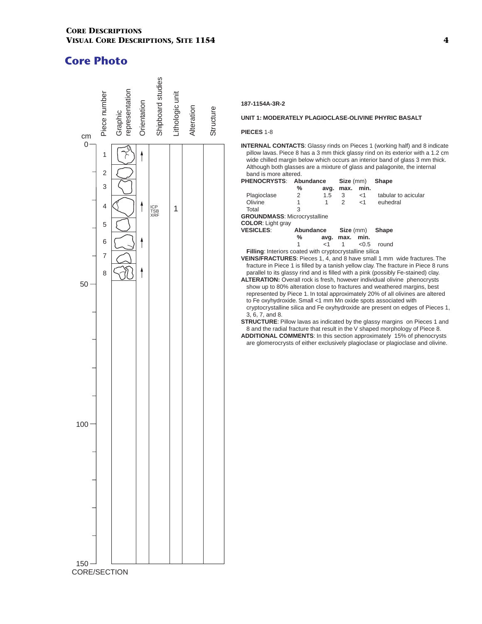

### **187-1154A-3R-2**

#### **UNIT 1: MODERATELY PLAGIOCLASE-OLIVINE PHYRIC BASALT**

#### **PIECES** 1-8

**INTERNAL CONTACTS**: Glassy rinds on Pieces 1 (working half) and 8 indicate pillow lavas. Piece 8 has a 3 mm thick glassy rind on its exterior with a 1.2 cm wide chilled margin below which occurs an interior band of glass 3 mm thick. Although both glasses are a mixture of glass and palagonite, the internal band is more altered.

| <b>PHENOCRYSTS:</b>                                            | Abundance |               | Size (mm) |                  | Shape                                                                               |
|----------------------------------------------------------------|-----------|---------------|-----------|------------------|-------------------------------------------------------------------------------------|
|                                                                | ℅         | avq.          | max.      | min.             |                                                                                     |
| Plagioclase                                                    | 2         | $1.5^{\circ}$ | 3         | $<$ 1            | tabular to acicular                                                                 |
| Olivine                                                        |           | 1             | 2         | <1               | euhedral                                                                            |
| Total                                                          | 3         |               |           |                  |                                                                                     |
| <b>GROUNDMASS: Microcrystalline</b>                            |           |               |           |                  |                                                                                     |
| <b>COLOR:</b> Light gray                                       |           |               |           |                  |                                                                                     |
| <b>VESICLES:</b>                                               | Abundance |               |           | <b>Size</b> (mm) | <b>Shape</b>                                                                        |
|                                                                | ℅         | avg.          | max.      | min.             |                                                                                     |
|                                                                |           | ا>            |           | < 0.5            | round                                                                               |
| Filling: Interiors coated with cryptocrystalline silica        |           |               |           |                  |                                                                                     |
|                                                                |           |               |           |                  | <b>VEINS/FRACTURES:</b> Pieces 1, 4, and 8 have small 1 mm wide fractures. The      |
|                                                                |           |               |           |                  | fracture in Piece 1 is filled by a tanish yellow clay. The fracture in Piece 8 runs |
|                                                                |           |               |           |                  | parallel to its glassy rind and is filled with a pink (possibly Fe-stained) clay.   |
|                                                                |           |               |           |                  | <b>ALTERATION:</b> Overall rock is fresh, however individual olivine phenocrysts    |
|                                                                |           |               |           |                  | show up to 80% alteration close to fractures and weathered margins, best            |
|                                                                |           |               |           |                  | represented by Piece 1. In total approximately 20% of all olivines are altered      |
| to Fe oxyhydroxide. Small <1 mm Mn oxide spots associated with |           |               |           |                  |                                                                                     |
|                                                                |           |               |           |                  | cryptocrystalline silica and Fe oxyhydroxide are present on edges of Pieces 1,      |

3, 6, 7, and 8.

**STRUCTURE:** Pillow lavas as indicated by the glassy margins on Pieces 1 and 8 and the radial fracture that result in the V shaped morphology of Piece 8.

**ADDITIONAL COMMENTS**: In this section approximately 15% of phenocrysts are glomerocrysts of either exclusively plagioclase or plagioclase and olivine.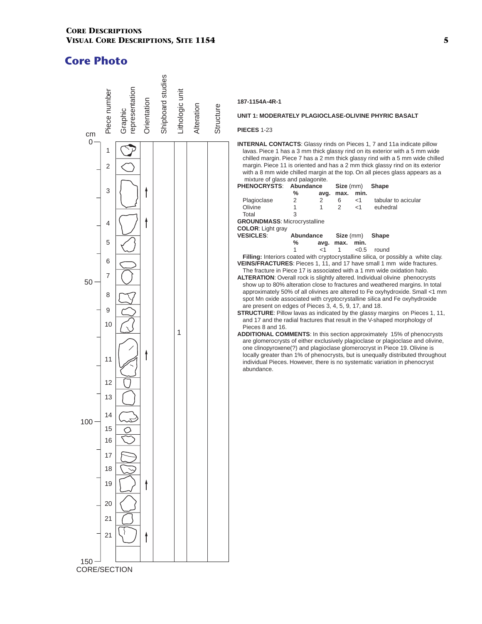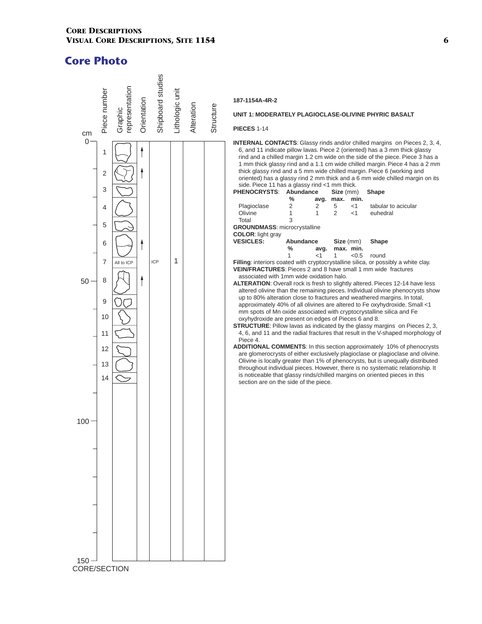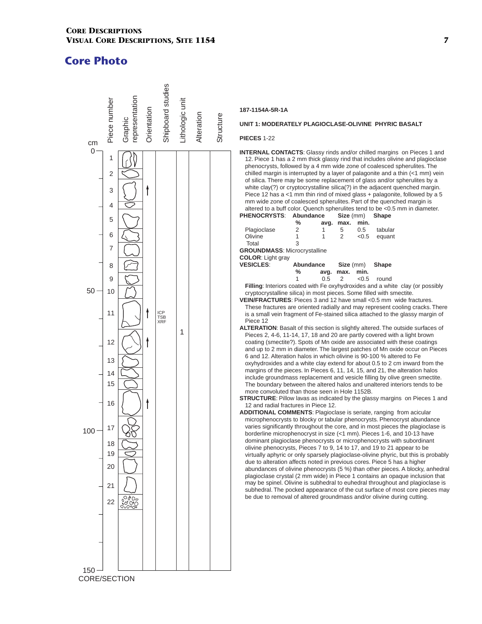

## **187-1154A-5R-1A**

#### **UNIT 1: MODERATELY PLAGIOCLASE-OLIVINE PHYRIC BASALT**

#### **PIECES** 1-22

**INTERNAL CONTACTS**: Glassy rinds and/or chilled margins on Pieces 1 and 12. Piece 1 has a 2 mm thick glassy rind that includes olivine and plagioclase phenocrysts, followed by a 4 mm wide zone of coalesced spherulites. The chilled margin is interrupted by a layer of palagonite and a thin (<1 mm) vein of silica. There may be some replacement of glass and/or spherulites by a white clay(?) or cryptocrystalline silica(?) in the adjacent quenched margin. Piece 12 has a  $<$ 1 mm thin rind of mixed glass + palagonite, followed by a 5 mm wide zone of coalesced spherulites. Part of the quenched margin is altered to a buff color. Quench spherulites tend to be <0.5 mm in diameter.<br>HENOCRYSTS: Abundance Size (mm) Shape

#### **PHENOCRYSTS**: **Abundance Size** (mm) **Shape**

|             | % | avg. | max. min. |               |                |
|-------------|---|------|-----------|---------------|----------------|
| Plagioclase | 2 |      |           | $0.5^{\circ}$ | tabular        |
| Olivine     |   |      |           |               | $< 0.5$ equant |
| Total       | 2 |      |           |               |                |

**GROUNDMASS**: Microcrystalline

| <b>COLOR: Light gray</b> |           |               |                |       |                 |
|--------------------------|-----------|---------------|----------------|-------|-----------------|
| <b>VESICLES:</b>         | Abundance |               |                |       | Size (mm) Shape |
|                          | %         |               | avg. max. min. |       |                 |
|                          |           | $0.5 \quad 2$ |                | < 0.5 | round           |

**Filling**: Interiors coated with Fe oxyhydroxides and a white clay (or possibly cryptocrystalline silica) in most pieces. Some filled with smectite.

- **VEIN/FRACTURES**: Pieces 3 and 12 have small <0.5 mm wide fractures. These fractures are oriented radially and may represent cooling cracks. There is a small vein fragment of Fe-stained silica attached to the glassy margin of Piece 12
- **ALTERATION**: Basalt of this section is slightly altered. The outside surfaces of Pieces 2, 4-6, 11-14, 17, 18 and 20 are partly covered with a light brown coating (smectite?). Spots of Mn oxide are associated with these coatings and up to 2 mm in diameter. The largest patches of Mn oxide occur on Pieces 6 and 12. Alteration halos in which olivine is 90-100 % altered to Fe oxyhydroxides and a white clay extend for about 0.5 to 2 cm inward from the margins of the pieces. In Pieces 6, 11, 14, 15, and 21, the alteration halos include groundmass replacement and vesicle filling by olive green smectite. The boundary between the altered halos and unaltered interiors tends to be more convoluted than those seen in Hole 1152B.
- **STRUCTURE:** Pillow lavas as indicated by the glassy margins on Pieces 1 and 12 and radial fractures in Piece 12.
- **ADDITIONAL COMMENTS**: Plagioclase is seriate, ranging from acicular microphenocrysts to blocky or tabular phenocrysts. Phenocryst abundance varies significantly throughout the core, and in most pieces the plagioclase is borderline microphenocryst in size (<1 mm). Pieces 1-6, and 10-13 have dominant plagioclase phenocrysts or microphenocrysts with subordinant olivine phenocrysts, Pieces 7 to 9, 14 to 17, and 19 to 21 appear to be virtually aphyric or only sparsely plagioclase-olivine phyric, but this is probably due to alteration affects noted in previous cores. Piece 5 has a higher abundances of olivine phenocrysts (5 %) than other pieces. A blocky, anhedral plagioclase crystal (2 mm wide) in Piece 1 contains an opaque inclusion that may be spinel. Olivine is subhedral to euhedral throughout and plagioclase is subhedral. The pocked appearance of the cut surface of most core pieces may be due to removal of altered groundmass and/or olivine during cutting.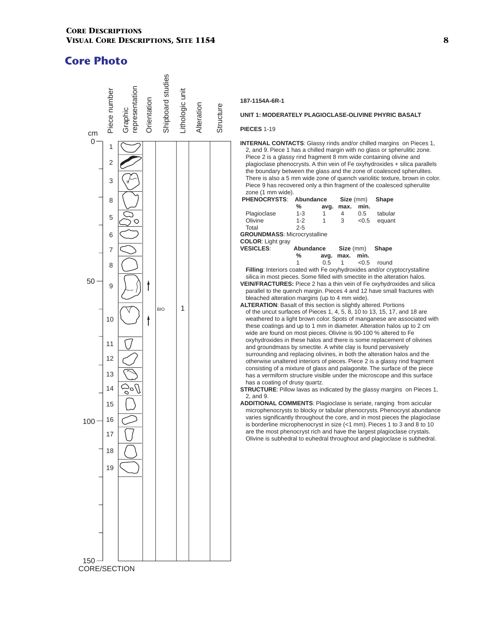

# **187-1154A-6R-1**

#### **UNIT 1: MODERATELY PLAGIOCLASE-OLIVINE PHYRIC BASALT**

### **PIECES** 1-19

**INTERNAL CONTACTS**: Glassy rinds and/or chilled margins on Pieces 1, 2, and 9. Piece 1 has a chilled margin with no glass or spherulitic zone. Piece 2 is a glassy rind fragment 8 mm wide containing olivine and plagioclase phenocrysts. A thin vein of Fe oxyhydroxides + silica parallels the boundary between the glass and the zone of coalesced spherulites. There is also a 5 mm wide zone of quench variolitic texture, brown in color. Piece 9 has recovered only a thin fragment of the coalesced spherulite zone (1 mm wide).

| <b>PHENOCRYSTS:</b>                                                     | Abundance |      | Size (mm) |       | <b>Shape</b>                                                                   |
|-------------------------------------------------------------------------|-----------|------|-----------|-------|--------------------------------------------------------------------------------|
|                                                                         | ℅         | avg. | max.      | min.  |                                                                                |
| Plagioclase                                                             | $1 - 3$   | 1    | 4         | 0.5   | tabular                                                                        |
| Olivine                                                                 | $1 - 2$   | 1    | 3         | < 0.5 | equant                                                                         |
| Total                                                                   | $2 - 5$   |      |           |       |                                                                                |
| <b>GROUNDMASS: Microcrystalline</b>                                     |           |      |           |       |                                                                                |
| <b>COLOR:</b> Light gray                                                |           |      |           |       |                                                                                |
| <b>VESICLES:</b>                                                        | Abundance |      | Size (mm) |       | <b>Shape</b>                                                                   |
|                                                                         | ℅         | avg. | max.      | min.  |                                                                                |
|                                                                         | 1         | 0.5  | 1         | < 0.5 | round                                                                          |
|                                                                         |           |      |           |       | Filling: Interiors coated with Fe oxyhydroxides and/or cryptocrystalline       |
|                                                                         |           |      |           |       | silica in most pieces. Some filled with smectite in the alteration halos.      |
|                                                                         |           |      |           |       | <b>VEIN/FRACTURES:</b> Piece 2 has a thin vein of Fe oxyhydroxides and silica  |
|                                                                         |           |      |           |       | parallel to the quench margin. Pieces 4 and 12 have small fractures with       |
| bleached alteration margins (up to 4 mm wide).                          |           |      |           |       |                                                                                |
| <b>ALTERATION:</b> Basalt of this section is slightly altered. Portions |           |      |           |       |                                                                                |
|                                                                         |           |      |           |       | of the unout our focoon of Discos $4, 4, 5, 9, 40$ to $42, 47, 47, 49, 49, 65$ |

- of the uncut surfaces of Pieces 1, 4, 5, 8, 10 to 13, 15, 17, and 18 are weathered to a light brown color. Spots of manganese are associated with these coatings and up to 1 mm in diameter. Alteration halos up to 2 cm wide are found on most pieces. Olivine is 90-100 % altered to Fe oxyhydroxides in these halos and there is some replacement of olivines and groundmass by smectite. A white clay is found pervasively surrounding and replacing olivines, in both the alteration halos and the otherwise unaltered interiors of pieces. Piece 2 is a glassy rind fragment consisting of a mixture of glass and palagonite. The surface of the piece has a vermiform structure visible under the microscope and this surface has a coating of drusy quartz.
- **STRUCTURE:** Pillow lavas as indicated by the glassy margins on Pieces 1, 2, and 9.
- **ADDITIONAL COMMENTS**: Plagioclase is seriate, ranging from acicular microphenocrysts to blocky or tabular phenocrysts. Phenocryst abundance varies significantly throughout the core, and in most pieces the plagioclase is borderline microphenocryst in size (<1 mm). Pieces 1 to 3 and 8 to 10 are the most phenocryst rich and have the largest plagioclase crystals. Olivine is subhedral to euhedral throughout and plagioclase is subhedral.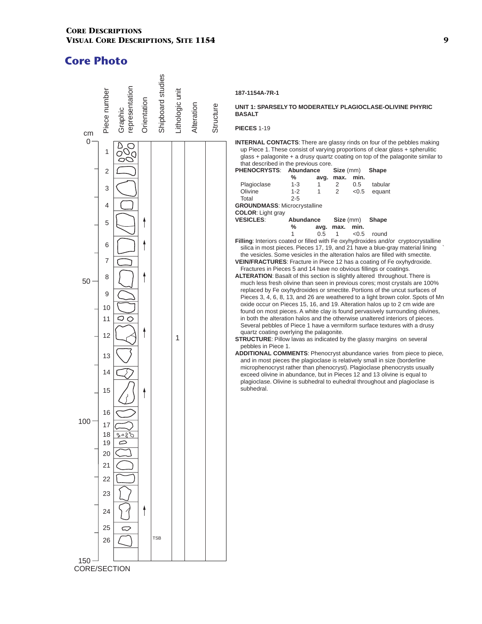

## **187-1154A-7R-1**

#### **UNIT 1: SPARSELY TO MODERATELY PLAGIOCLASE-OLIVINE PHYRIC BASALT**

**PIECES** 1-19

**INTERNAL CONTACTS**: There are glassy rinds on four of the pebbles making up Piece 1. These consist of varying proportions of clear glass + spherulitic glass + palagonite + a drusy quartz coating on top of the palagonite similar to that described in the previous core.

| <b>PHENOCRYSTS:</b>                                                                       | Abundance |      | Size (mm) |       | <b>Shape</b> |  |
|-------------------------------------------------------------------------------------------|-----------|------|-----------|-------|--------------|--|
|                                                                                           | ℅         | avg. | max.      | min.  |              |  |
| Plagioclase                                                                               | 1-3       | 1    | 2         | 0.5   | tabular      |  |
| Olivine                                                                                   | $1 - 2$   |      | 2         | < 0.5 | equant       |  |
| Total                                                                                     | $2 - 5$   |      |           |       |              |  |
| <b>GROUNDMASS: Microcrystalline</b>                                                       |           |      |           |       |              |  |
| <b>COLOR:</b> Light gray                                                                  |           |      |           |       |              |  |
| <b>VESICLES:</b>                                                                          | Abundance |      | Size (mm) |       | <b>Shape</b> |  |
|                                                                                           | ℅         | avg. | max.      | min.  |              |  |
|                                                                                           |           | 0.5  |           | < 0.5 | round        |  |
| <b>Filling:</b> Interiors coated or filled with Fe oxyhydroxides and/or cryptocrystalline |           |      |           |       |              |  |

silica in most pieces. Pieces 17, 19, and 21 have a blue-gray material lining ` the vesicles. Some vesicles in the alteration halos are filled with smectite.

**VEIN/FRACTURES**: Fracture in Piece 12 has a coating of Fe oxyhydroxide. Fractures in Pieces 5 and 14 have no obvious fillings or coatings.

**ALTERATION**: Basalt of this section is slightly altered throughout. There is much less fresh olivine than seen in previous cores; most crystals are 100% replaced by Fe oxyhydroxides or smectite. Portions of the uncut surfaces of Pieces 3, 4, 6, 8, 13, and 26 are weathered to a light brown color. Spots of Mn oxide occur on Pieces 15, 16, and 19. Alteration halos up to 2 cm wide are found on most pieces. A white clay is found pervasively surrounding olivines, in both the alteration halos and the otherwise unaltered interiors of pieces. Several pebbles of Piece 1 have a vermiform surface textures with a drusy quartz coating overlying the palagonite.

**STRUCTURE:** Pillow lavas as indicated by the glassy margins on several pebbles in Piece 1.

**ADDITIONAL COMMENTS**: Phenocryst abundance varies from piece to piece, and in most pieces the plagioclase is relatively small in size (borderline microphenocryst rather than phenocryst). Plagioclase phenocrysts usually exceed olivine in abundance, but in Pieces 12 and 13 olivine is equal to plagioclase. Olivine is subhedral to euhedral throughout and plagioclase is subhedral.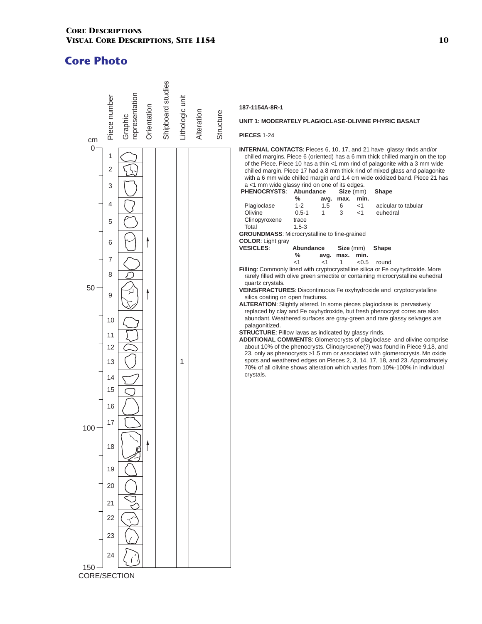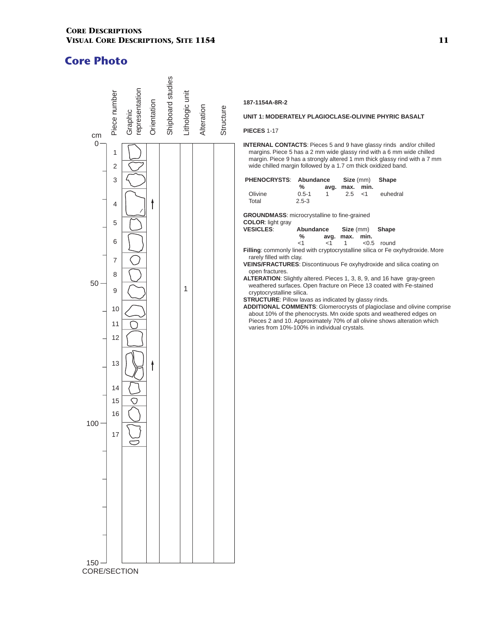

#### **187-1154A-8R-2**

#### **UNIT 1: MODERATELY PLAGIOCLASE-OLIVINE PHYRIC BASALT**

**PIECES** 1-17

**INTERNAL CONTACTS**: Pieces 5 and 9 have glassy rinds and/or chilled margins. Piece 5 has a 2 mm wide glassy rind with a 6 mm wide chilled margin. Piece 9 has a strongly altered 1 mm thick glassy rind with a 7 mm wide chilled margin followed by a 1.7 cm thick oxidized band.

|  |   |  | PHENOCRYSTS: Abundance<br>Olivine<br>Total                                                                                                                                                                                                                                        | $\%$<br>$0.5 - 1$<br>$2.5 - 3$ | avg.<br>$\mathbf{1}$ | max.<br>2.5                      | Size (mm)<br>min.<br>$<$ 1 | Shape<br>euhedral                                                                                                                                                                                                                                                                                                                                                                                                                                                                                                                                                       |  |
|--|---|--|-----------------------------------------------------------------------------------------------------------------------------------------------------------------------------------------------------------------------------------------------------------------------------------|--------------------------------|----------------------|----------------------------------|----------------------------|-------------------------------------------------------------------------------------------------------------------------------------------------------------------------------------------------------------------------------------------------------------------------------------------------------------------------------------------------------------------------------------------------------------------------------------------------------------------------------------------------------------------------------------------------------------------------|--|
|  | 1 |  | <b>GROUNDMASS:</b> microcrystalline to fine-grained<br>COLOR: light gray<br><b>VESICLES:</b><br>rarely filled with clay.<br>open fractures.<br>cryptocrystalline silica.<br>STRUCTURE: Pillow lavas as indicated by glassy rinds.<br>varies from 10%-100% in individual crystals. | Abundance<br>$\%$<br>< 1       | $<$ 1                | Size (mm)<br>avg. max. min.<br>1 |                            | Shape<br>$< 0.5$ round<br>Filling: commonly lined with cryptocrystalline silica or Fe oxyhydroxide. More<br>VEINS/FRACTURES: Discontinuous Fe oxyhydroxide and silica coating on<br>ALTERATION: Slightly altered. Pieces 1, 3, 8, 9, and 16 have gray-green<br>weathered surfaces. Open fracture on Piece 13 coated with Fe-stained<br><b>ADDITIONAL COMMENTS:</b> Glomerocrysts of plagioclase and olivine comprise<br>about 10% of the phenocrysts. Mn oxide spots and weathered edges on<br>Pieces 2 and 10. Approximately 70% of all olivine shows alteration which |  |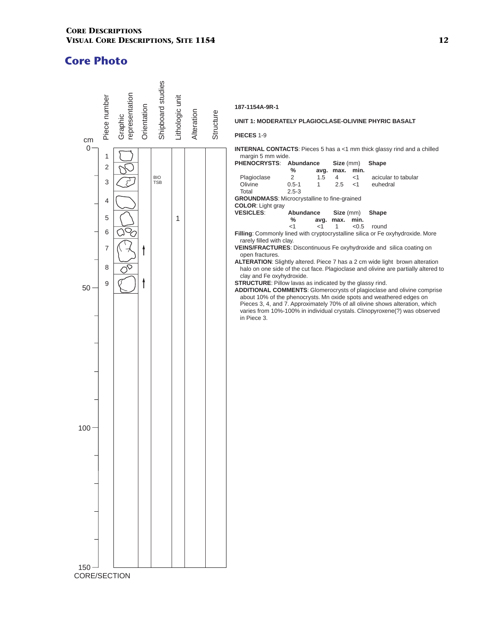

**187-1154A-9R-1**

#### **UNIT 1: MODERATELY PLAGIOCLASE-OLIVINE PHYRIC BASALT**

**PIECES** 1-9

**INTERNAL CONTACTS:** Pieces 5 has a <1 mm thick glassy rind and a chilled margin 5 mm wide.

| <b>PHENOCRYSTS:</b>                                      | Abundance |              | Size (mm) |           | Shape                                                                              |
|----------------------------------------------------------|-----------|--------------|-----------|-----------|------------------------------------------------------------------------------------|
|                                                          | %         | avg.         | max.      | min.      |                                                                                    |
| Plagioclase                                              | 2         | 1.5          | 4         | $<$ 1     | acicular to tabular                                                                |
| Olivine                                                  | $0.5 - 1$ | $\mathbf{1}$ | 2.5       | $<$ 1     | euhedral                                                                           |
| Total                                                    | $2.5 - 3$ |              |           |           |                                                                                    |
| <b>GROUNDMASS: Microcrystalline to fine-grained</b>      |           |              |           |           |                                                                                    |
| <b>COLOR:</b> Light gray                                 |           |              |           |           |                                                                                    |
| <b>VESICLES:</b>                                         | Abundance |              |           | Size (mm) | Shape                                                                              |
|                                                          | %         |              | avg. max. | min.      |                                                                                    |
|                                                          | $<$ 1     | $<$ 1        | 1         | < 0.5     | round                                                                              |
|                                                          |           |              |           |           | Filling: Commonly lined with cryptocrystalline silica or Fe oxyhydroxide. More     |
| rarely filled with clay.                                 |           |              |           |           | VEINS/FRACTURES: Discontinuous Fe oxyhydroxide and silica coating on               |
| open fractures.                                          |           |              |           |           |                                                                                    |
|                                                          |           |              |           |           | ALTERATION: Slightly altered. Piece 7 has a 2 cm wide light brown alteration       |
|                                                          |           |              |           |           | halo on one side of the cut face. Plagioclase and olivine are partially altered to |
| clay and Fe oxyhydroxide.                                |           |              |           |           |                                                                                    |
| STRUCTURE: Pillow lavas as indicated by the glassy rind. |           |              |           |           |                                                                                    |
|                                                          |           |              |           |           | <b>ADDITIONAL COMMENTS:</b> Glomerocrysts of plagioclase and olivine comprise      |
|                                                          |           |              |           |           | about 10% of the phenocrysts. Mn oxide spots and weathered edges on                |
|                                                          |           |              |           |           | Pieces 3, 4, and 7. Approximately 70% of all olivine shows alteration, which       |
|                                                          |           |              |           |           | varies from 10%-100% in individual crystals. Clinopyroxene(?) was observed         |
| in Piece 3.                                              |           |              |           |           |                                                                                    |
|                                                          |           |              |           |           |                                                                                    |
|                                                          |           |              |           |           |                                                                                    |
|                                                          |           |              |           |           |                                                                                    |
|                                                          |           |              |           |           |                                                                                    |
|                                                          |           |              |           |           |                                                                                    |
|                                                          |           |              |           |           |                                                                                    |
|                                                          |           |              |           |           |                                                                                    |
|                                                          |           |              |           |           |                                                                                    |
|                                                          |           |              |           |           |                                                                                    |
|                                                          |           |              |           |           |                                                                                    |
|                                                          |           |              |           |           |                                                                                    |
|                                                          |           |              |           |           |                                                                                    |
|                                                          |           |              |           |           |                                                                                    |
|                                                          |           |              |           |           |                                                                                    |
|                                                          |           |              |           |           |                                                                                    |
|                                                          |           |              |           |           |                                                                                    |
|                                                          |           |              |           |           |                                                                                    |
|                                                          |           |              |           |           |                                                                                    |
|                                                          |           |              |           |           |                                                                                    |
|                                                          |           |              |           |           |                                                                                    |
|                                                          |           |              |           |           |                                                                                    |
|                                                          |           |              |           |           |                                                                                    |
|                                                          |           |              |           |           |                                                                                    |
|                                                          |           |              |           |           |                                                                                    |
|                                                          |           |              |           |           |                                                                                    |
|                                                          |           |              |           |           |                                                                                    |
|                                                          |           |              |           |           |                                                                                    |
|                                                          |           |              |           |           |                                                                                    |
|                                                          |           |              |           |           |                                                                                    |
|                                                          |           |              |           |           |                                                                                    |
|                                                          |           |              |           |           |                                                                                    |
|                                                          |           |              |           |           |                                                                                    |
|                                                          |           |              |           |           |                                                                                    |
|                                                          |           |              |           |           |                                                                                    |
|                                                          |           |              |           |           |                                                                                    |
|                                                          |           |              |           |           |                                                                                    |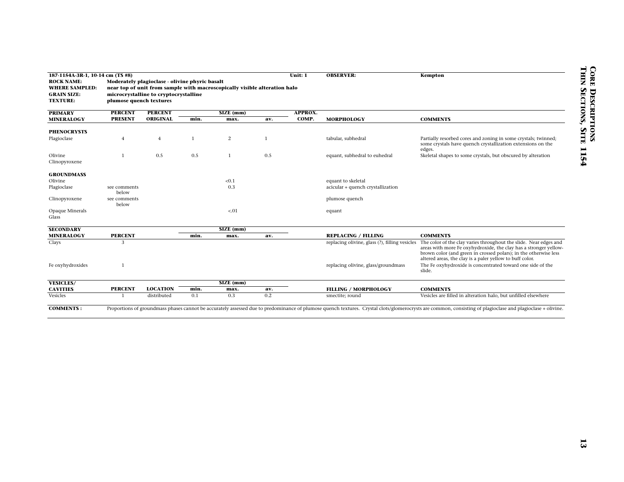| 187-1154A-3R-1, 10-14 cm (TS #8)           |                         |                                                |              |                                                                           |              | Unit: 1 | <b>OBSERVER:</b>                               | Kempton                                                                                                                              |
|--------------------------------------------|-------------------------|------------------------------------------------|--------------|---------------------------------------------------------------------------|--------------|---------|------------------------------------------------|--------------------------------------------------------------------------------------------------------------------------------------|
| <b>ROCK NAME:</b><br><b>WHERE SAMPLED:</b> |                         | Moderately plagioclase - olivine phyric basalt |              | near top of unit from sample with macroscopically visible alteration halo |              |         |                                                |                                                                                                                                      |
| <b>GRAIN SIZE:</b>                         |                         | microcrystalline to cryptocrystalline          |              |                                                                           |              |         |                                                |                                                                                                                                      |
| <b>TEXTURE:</b>                            | plumose quench textures |                                                |              |                                                                           |              |         |                                                |                                                                                                                                      |
| <b>PRIMARY</b>                             | <b>PERCENT</b>          | <b>PERCENT</b>                                 |              | SIZE (mm)                                                                 |              | APPROX. |                                                |                                                                                                                                      |
| <b>MINERALOGY</b>                          | <b>PRESENT</b>          | <b>ORIGINAL</b>                                | min.         | max.                                                                      | av.          | COMP.   | <b>MORPHOLOGY</b>                              | <b>COMMENTS</b>                                                                                                                      |
| <b>PHENOCRYSTS</b>                         |                         |                                                |              |                                                                           |              |         |                                                |                                                                                                                                      |
| Plagioclase                                | $\overline{4}$          | $\overline{4}$                                 | $\mathbf{1}$ | 2                                                                         | $\mathbf{1}$ |         | tabular, subhedral                             | Partially resorbed cores and zoning in some crystals; twinned;                                                                       |
|                                            |                         |                                                |              |                                                                           |              |         |                                                | some crystals have quench crystallization extensions on the<br>edges.                                                                |
| Olivine                                    |                         | 0.5                                            | 0.5          | $\mathbf{1}$                                                              | 0.5          |         | equant, subhedral to euhedral                  | Skeletal shapes to some crystals, but obscured by alteration                                                                         |
| Clinopyroxene                              |                         |                                                |              |                                                                           |              |         |                                                |                                                                                                                                      |
| <b>GROUNDMASS</b>                          |                         |                                                |              |                                                                           |              |         |                                                |                                                                                                                                      |
| Olivine                                    |                         |                                                |              | < 0.1                                                                     |              |         | equant to skeletal                             |                                                                                                                                      |
| Plagioclase                                | see comments            |                                                |              | 0.3                                                                       |              |         | acicular + quench crystallization              |                                                                                                                                      |
|                                            | below                   |                                                |              |                                                                           |              |         |                                                |                                                                                                                                      |
| Clinopyroxene                              | see comments<br>below   |                                                |              |                                                                           |              |         | plumose quench                                 |                                                                                                                                      |
| Opaque Minerals                            |                         |                                                |              | $-.01$                                                                    |              |         | equant                                         |                                                                                                                                      |
| Glass                                      |                         |                                                |              |                                                                           |              |         |                                                |                                                                                                                                      |
| <b>SECONDARY</b>                           |                         |                                                |              | SIZE (mm)                                                                 |              |         |                                                |                                                                                                                                      |
| <b>MINERALOGY</b>                          | <b>PERCENT</b>          |                                                | min.         | max.                                                                      | av.          |         | <b>REPLACING / FILLING</b>                     | <b>COMMENTS</b>                                                                                                                      |
| Clays                                      | 3                       |                                                |              |                                                                           |              |         | replacing olivine, glass (?), filling vesicles | The color of the clay varies throughout the slide. Near edges and                                                                    |
|                                            |                         |                                                |              |                                                                           |              |         |                                                | areas with more Fe oxyhydroxide, the clay has a stronger yellow-<br>brown color (and green in crossed polars); in the otherwise less |
|                                            |                         |                                                |              |                                                                           |              |         |                                                | altered areas, the clay is a paler yellow to buff color.                                                                             |
| Fe oxyhydroxides                           |                         |                                                |              |                                                                           |              |         | replacing olivine, glass/groundmass            | The Fe oxyhydroxide is concentrated toward one side of the                                                                           |
|                                            |                         |                                                |              |                                                                           |              |         |                                                | slide.                                                                                                                               |
| <b>VESICLES/</b>                           |                         |                                                |              | SIZE (mm)                                                                 |              |         |                                                |                                                                                                                                      |
| <b>CAVITIES</b>                            | <b>PERCENT</b>          | <b>LOCATION</b>                                | min.         | max.                                                                      | av.          |         | <b>FILLING / MORPHOLOGY</b>                    | <b>COMMENTS</b>                                                                                                                      |
| Vesicles                                   |                         | distributed                                    | 0.1          | 0.3                                                                       | 0.2          |         | smectite; round                                | Vesicles are filled in alteration halo, but unfilled elsewhere                                                                       |

**COMMENTS :** Proportions of groundmass phases cannot be accurately assessed due to predominance of plumose quench textures. Crystal clots/glomerocrysts are common, consisting of plagioclase and plagioclase + olivine.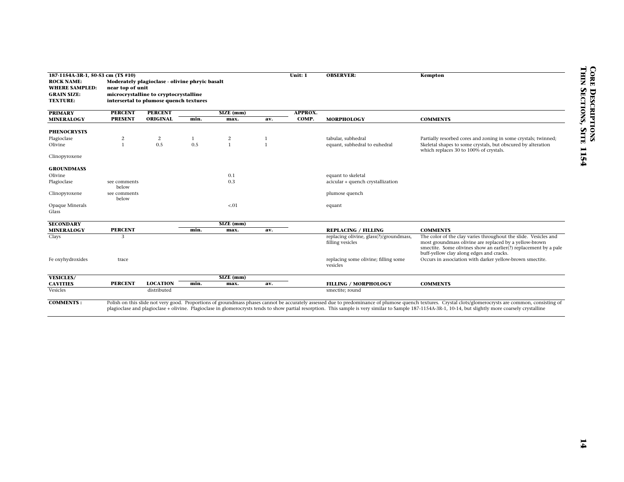| 187-1154A-3R-1, 50-53 cm (TS #10)                                                   |                                  |                                                                                                                                   |              |                        |              | Unit: 1                 | <b>OBSERVER:</b>                        | Kempton                                                                                                                                                                                                                                                                                                                                                                                                               |
|-------------------------------------------------------------------------------------|----------------------------------|-----------------------------------------------------------------------------------------------------------------------------------|--------------|------------------------|--------------|-------------------------|-----------------------------------------|-----------------------------------------------------------------------------------------------------------------------------------------------------------------------------------------------------------------------------------------------------------------------------------------------------------------------------------------------------------------------------------------------------------------------|
| <b>ROCK NAME:</b><br><b>WHERE SAMPLED:</b><br><b>GRAIN SIZE:</b><br><b>TEXTURE:</b> | near top of unit                 | Moderately plagioclase - olivine phryic basalt<br>microcrystalline to cryptocrystalline<br>intersertal to plumose quench textures |              |                        |              |                         |                                         |                                                                                                                                                                                                                                                                                                                                                                                                                       |
|                                                                                     |                                  |                                                                                                                                   |              |                        |              |                         |                                         |                                                                                                                                                                                                                                                                                                                                                                                                                       |
| <b>PRIMARY</b><br><b>MINERALOGY</b>                                                 | <b>PERCENT</b><br><b>PRESENT</b> | <b>PERCENT</b><br>ORIGINAL                                                                                                        | min.         | SIZE (mm)<br>max.      | av.          | <b>APPROX.</b><br>COMP. | <b>MORPHOLOGY</b>                       | <b>COMMENTS</b>                                                                                                                                                                                                                                                                                                                                                                                                       |
|                                                                                     |                                  |                                                                                                                                   |              |                        |              |                         |                                         |                                                                                                                                                                                                                                                                                                                                                                                                                       |
| <b>PHENOCRYSTS</b>                                                                  |                                  |                                                                                                                                   |              |                        |              |                         |                                         |                                                                                                                                                                                                                                                                                                                                                                                                                       |
| Plagioclase                                                                         | 2                                | $\overline{c}$                                                                                                                    | $\mathbf{1}$ | $\overline{c}$         | $\mathbf{1}$ |                         | tabular, subhedral                      | Partially resorbed cores and zoning in some crystals; twinned;                                                                                                                                                                                                                                                                                                                                                        |
| Olivine                                                                             | $\mathbf{1}$                     | $0.5\,$                                                                                                                           | 0.5          | $\mathbf{1}$           | $\mathbf{1}$ |                         | equant, subhedral to euhedral           | Skeletal shapes to some crystals, but obscured by alteration                                                                                                                                                                                                                                                                                                                                                          |
| Clinopyroxene                                                                       |                                  |                                                                                                                                   |              |                        |              |                         |                                         | which replaces 30 to 100% of crystals.                                                                                                                                                                                                                                                                                                                                                                                |
|                                                                                     |                                  |                                                                                                                                   |              |                        |              |                         |                                         |                                                                                                                                                                                                                                                                                                                                                                                                                       |
| <b>GROUNDMASS</b>                                                                   |                                  |                                                                                                                                   |              |                        |              |                         |                                         |                                                                                                                                                                                                                                                                                                                                                                                                                       |
| Olivine                                                                             |                                  |                                                                                                                                   |              | 0.1                    |              |                         | equant to skeletal                      |                                                                                                                                                                                                                                                                                                                                                                                                                       |
| Plagioclase                                                                         | see comments<br>below            |                                                                                                                                   |              | 0.3                    |              |                         | acicular + quench crystallization       |                                                                                                                                                                                                                                                                                                                                                                                                                       |
| Clinopyroxene                                                                       | see comments                     |                                                                                                                                   |              |                        |              |                         | plumose quench                          |                                                                                                                                                                                                                                                                                                                                                                                                                       |
|                                                                                     | below                            |                                                                                                                                   |              |                        |              |                         |                                         |                                                                                                                                                                                                                                                                                                                                                                                                                       |
| Opaque Minerals                                                                     |                                  |                                                                                                                                   |              | ${<}01$                |              |                         | equant                                  |                                                                                                                                                                                                                                                                                                                                                                                                                       |
| Glass                                                                               |                                  |                                                                                                                                   |              |                        |              |                         |                                         |                                                                                                                                                                                                                                                                                                                                                                                                                       |
| <b>SECONDARY</b>                                                                    |                                  |                                                                                                                                   |              | $\overline{SIZE}$ (mm) |              |                         |                                         |                                                                                                                                                                                                                                                                                                                                                                                                                       |
| <b>MINERALOGY</b>                                                                   | <b>PERCENT</b>                   |                                                                                                                                   | min.         | max.                   | av.          |                         | <b>REPLACING / FILLING</b>              | <b>COMMENTS</b>                                                                                                                                                                                                                                                                                                                                                                                                       |
| Clays                                                                               | 3                                |                                                                                                                                   |              |                        |              |                         | replacing olivine, glass(?)/groundmass, | The color of the clay varies throughout the slide. Vesicles and                                                                                                                                                                                                                                                                                                                                                       |
|                                                                                     |                                  |                                                                                                                                   |              |                        |              |                         | filling vesicles                        | most groundmass olivine are replaced by a yellow-brown<br>smectite. Some olivines show an earlier(?) replacement by a pale                                                                                                                                                                                                                                                                                            |
|                                                                                     |                                  |                                                                                                                                   |              |                        |              |                         |                                         | buff-yellow clay along edges and cracks.                                                                                                                                                                                                                                                                                                                                                                              |
| Fe oxyhydroxides                                                                    | trace                            |                                                                                                                                   |              |                        |              |                         | replacing some olivine; filling some    | Occurs in association with darker yellow-brown smectite.                                                                                                                                                                                                                                                                                                                                                              |
|                                                                                     |                                  |                                                                                                                                   |              |                        |              |                         | vesicles                                |                                                                                                                                                                                                                                                                                                                                                                                                                       |
| <b>VESICLES/</b>                                                                    |                                  |                                                                                                                                   |              | SIZE (mm)              |              |                         |                                         |                                                                                                                                                                                                                                                                                                                                                                                                                       |
| <b>CAVITIES</b>                                                                     | <b>PERCENT</b>                   | <b>LOCATION</b>                                                                                                                   | min.         | max.                   | av.          |                         | <b>FILLING / MORPHOLOGY</b>             | <b>COMMENTS</b>                                                                                                                                                                                                                                                                                                                                                                                                       |
| Vesicles                                                                            |                                  | distributed                                                                                                                       |              |                        |              |                         | smectite; round                         |                                                                                                                                                                                                                                                                                                                                                                                                                       |
|                                                                                     |                                  |                                                                                                                                   |              |                        |              |                         |                                         |                                                                                                                                                                                                                                                                                                                                                                                                                       |
| <b>COMMENTS:</b>                                                                    |                                  |                                                                                                                                   |              |                        |              |                         |                                         | Polish on this slide not very good. Proportions of groundmass phases cannot be accurately assessed due to predominance of plumose quench textures. Crystal clots/glomerocrysts are common, consisting of<br>plagioclase and plagioclase + olivine. Plagioclase in glomerocrysts tends to show partial resorption. This sample is very similar to Sample 187-1154A-3R-1, 10-14, but slightly more coarsely crystalline |
|                                                                                     |                                  |                                                                                                                                   |              |                        |              |                         |                                         |                                                                                                                                                                                                                                                                                                                                                                                                                       |
|                                                                                     |                                  |                                                                                                                                   |              |                        |              |                         |                                         |                                                                                                                                                                                                                                                                                                                                                                                                                       |
|                                                                                     |                                  |                                                                                                                                   |              |                        |              |                         |                                         |                                                                                                                                                                                                                                                                                                                                                                                                                       |
|                                                                                     |                                  |                                                                                                                                   |              |                        |              |                         |                                         |                                                                                                                                                                                                                                                                                                                                                                                                                       |
|                                                                                     |                                  |                                                                                                                                   |              |                        |              |                         |                                         |                                                                                                                                                                                                                                                                                                                                                                                                                       |
|                                                                                     |                                  |                                                                                                                                   |              |                        |              |                         |                                         |                                                                                                                                                                                                                                                                                                                                                                                                                       |
|                                                                                     |                                  |                                                                                                                                   |              |                        |              |                         |                                         |                                                                                                                                                                                                                                                                                                                                                                                                                       |
|                                                                                     |                                  |                                                                                                                                   |              |                        |              |                         |                                         |                                                                                                                                                                                                                                                                                                                                                                                                                       |
|                                                                                     |                                  |                                                                                                                                   |              |                        |              |                         |                                         |                                                                                                                                                                                                                                                                                                                                                                                                                       |
|                                                                                     |                                  |                                                                                                                                   |              |                        |              |                         |                                         |                                                                                                                                                                                                                                                                                                                                                                                                                       |
|                                                                                     |                                  |                                                                                                                                   |              |                        |              |                         |                                         |                                                                                                                                                                                                                                                                                                                                                                                                                       |
|                                                                                     |                                  |                                                                                                                                   |              |                        |              |                         |                                         |                                                                                                                                                                                                                                                                                                                                                                                                                       |
|                                                                                     |                                  |                                                                                                                                   |              |                        |              |                         |                                         |                                                                                                                                                                                                                                                                                                                                                                                                                       |
|                                                                                     |                                  |                                                                                                                                   |              |                        |              |                         |                                         |                                                                                                                                                                                                                                                                                                                                                                                                                       |
|                                                                                     |                                  |                                                                                                                                   |              |                        |              |                         |                                         |                                                                                                                                                                                                                                                                                                                                                                                                                       |
|                                                                                     |                                  |                                                                                                                                   |              |                        |              |                         |                                         |                                                                                                                                                                                                                                                                                                                                                                                                                       |
|                                                                                     |                                  |                                                                                                                                   |              |                        |              |                         |                                         |                                                                                                                                                                                                                                                                                                                                                                                                                       |
|                                                                                     |                                  |                                                                                                                                   |              |                        |              |                         |                                         |                                                                                                                                                                                                                                                                                                                                                                                                                       |
|                                                                                     |                                  |                                                                                                                                   |              |                        |              |                         |                                         |                                                                                                                                                                                                                                                                                                                                                                                                                       |
|                                                                                     |                                  |                                                                                                                                   |              |                        |              |                         |                                         |                                                                                                                                                                                                                                                                                                                                                                                                                       |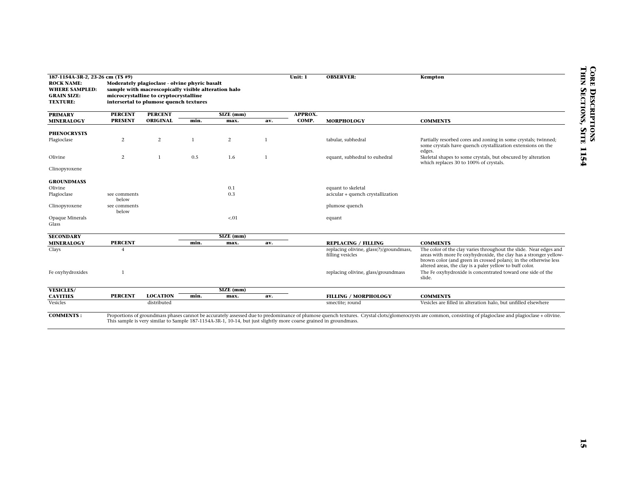| 187-1154A-3R-2, 23-26 cm (TS #9)                                                    |                |                                                                                                                                                                                         |              |                                                                                                                   |              | Unit: 1        | <b>OBSERVER:</b>                        | Kempton                                                                                                                                                                                                     |
|-------------------------------------------------------------------------------------|----------------|-----------------------------------------------------------------------------------------------------------------------------------------------------------------------------------------|--------------|-------------------------------------------------------------------------------------------------------------------|--------------|----------------|-----------------------------------------|-------------------------------------------------------------------------------------------------------------------------------------------------------------------------------------------------------------|
| <b>ROCK NAME:</b><br><b>WHERE SAMPLED:</b><br><b>GRAIN SIZE:</b><br><b>TEXTURE:</b> |                | Moderately plagioclase - olvine phyric basalt<br>sample with macroscopically visible alteration halo<br>microcrystalline to cryptocrystalline<br>intersertal to plumose quench textures |              |                                                                                                                   |              |                |                                         |                                                                                                                                                                                                             |
|                                                                                     |                |                                                                                                                                                                                         |              |                                                                                                                   |              |                |                                         |                                                                                                                                                                                                             |
| <b>PRIMARY</b>                                                                      | <b>PERCENT</b> | <b>PERCENT</b>                                                                                                                                                                          |              | $SIZE$ (mm)                                                                                                       |              | <b>APPROX.</b> |                                         |                                                                                                                                                                                                             |
| <b>MINERALOGY</b>                                                                   | <b>PRESENT</b> | ORIGINAL                                                                                                                                                                                | min.         | max.                                                                                                              | av.          | COMP.          | <b>MORPHOLOGY</b>                       | <b>COMMENTS</b>                                                                                                                                                                                             |
| <b>PHENOCRYSTS</b>                                                                  |                |                                                                                                                                                                                         |              |                                                                                                                   |              |                |                                         |                                                                                                                                                                                                             |
| Plagioclase                                                                         | $\sqrt{2}$     | $\sqrt{2}$                                                                                                                                                                              | $\mathbf{1}$ | $\overline{2}$                                                                                                    | $\mathbf{1}$ |                | tabular, subhedral                      | Partially resorbed cores and zoning in some crystals; twinned;                                                                                                                                              |
|                                                                                     |                |                                                                                                                                                                                         |              |                                                                                                                   |              |                |                                         | some crystals have quench crystallization extensions on the                                                                                                                                                 |
|                                                                                     |                |                                                                                                                                                                                         |              |                                                                                                                   |              |                |                                         | edges.                                                                                                                                                                                                      |
| Olivine                                                                             | $\sqrt{2}$     | $\mathbf{1}$                                                                                                                                                                            | 0.5          | 1.6                                                                                                               | $\mathbf{1}$ |                | equant, subhedral to euhedral           | Skeletal shapes to some crystals, but obscured by alteration<br>which replaces 30 to 100% of crystals.                                                                                                      |
| Clinopyroxene                                                                       |                |                                                                                                                                                                                         |              |                                                                                                                   |              |                |                                         |                                                                                                                                                                                                             |
| <b>GROUNDMASS</b>                                                                   |                |                                                                                                                                                                                         |              |                                                                                                                   |              |                |                                         |                                                                                                                                                                                                             |
| Olivine                                                                             |                |                                                                                                                                                                                         |              | 0.1                                                                                                               |              |                | equant to skeletal                      |                                                                                                                                                                                                             |
| Plagioclase                                                                         | see comments   |                                                                                                                                                                                         |              | $0.3\,$                                                                                                           |              |                | acicular + quench crystallization       |                                                                                                                                                                                                             |
|                                                                                     | below          |                                                                                                                                                                                         |              |                                                                                                                   |              |                |                                         |                                                                                                                                                                                                             |
| Clinopyroxene                                                                       | see comments   |                                                                                                                                                                                         |              |                                                                                                                   |              |                | plumose quench                          |                                                                                                                                                                                                             |
| Opaque Minerals                                                                     | below          |                                                                                                                                                                                         |              | $-.01$                                                                                                            |              |                | equant                                  |                                                                                                                                                                                                             |
| Glass                                                                               |                |                                                                                                                                                                                         |              |                                                                                                                   |              |                |                                         |                                                                                                                                                                                                             |
|                                                                                     |                |                                                                                                                                                                                         |              |                                                                                                                   |              |                |                                         |                                                                                                                                                                                                             |
| <b>SECONDARY</b><br><b>MINERALOGY</b>                                               | <b>PERCENT</b> |                                                                                                                                                                                         | min.         | $SIZE$ (mm)<br>max.                                                                                               | av.          |                | <b>REPLACING / FILLING</b>              | <b>COMMENTS</b>                                                                                                                                                                                             |
| Clays                                                                               | $\overline{4}$ |                                                                                                                                                                                         |              |                                                                                                                   |              |                | replacing olivine, glass(?)/groundmass, | The color of the clay varies throughout the slide. Near edges and                                                                                                                                           |
|                                                                                     |                |                                                                                                                                                                                         |              |                                                                                                                   |              |                | filling vesicles                        | areas with more Fe oxyhydroxide, the clay has a stronger yellow-<br>brown color (and green in crossed polars); in the otherwise less<br>altered areas, the clay is a paler yellow to buff color.            |
| Fe oxyhydroxides                                                                    | $\mathbf{1}$   |                                                                                                                                                                                         |              |                                                                                                                   |              |                | replacing olivine, glass/groundmass     | The Fe oxyhydroxide is concentrated toward one side of the<br>slide.                                                                                                                                        |
| <b>VESICLES/</b>                                                                    |                |                                                                                                                                                                                         |              | SIZE (mm)                                                                                                         |              |                |                                         |                                                                                                                                                                                                             |
| <b>CAVITIES</b>                                                                     | <b>PERCENT</b> | <b>LOCATION</b>                                                                                                                                                                         | min.         | max.                                                                                                              | av.          |                | <b>FILLING / MORPHOLOGY</b>             | <b>COMMENTS</b>                                                                                                                                                                                             |
| Vesicles                                                                            |                | distributed                                                                                                                                                                             |              |                                                                                                                   |              |                | smectite; round                         | Vesicles are filled in alteration halo, but unfilled elsewhere                                                                                                                                              |
| <b>COMMENTS:</b>                                                                    |                |                                                                                                                                                                                         |              | This sample is very similar to Sample 187-1154A-3R-1, 10-14, but just slightly more coarse grained in groundmass. |              |                |                                         | Proportions of groundmass phases cannot be accurately assessed due to predominance of plumose quench textures. Crystal clots/glomerocrysts are common, consisting of plagioclase and plagioclase + olivine. |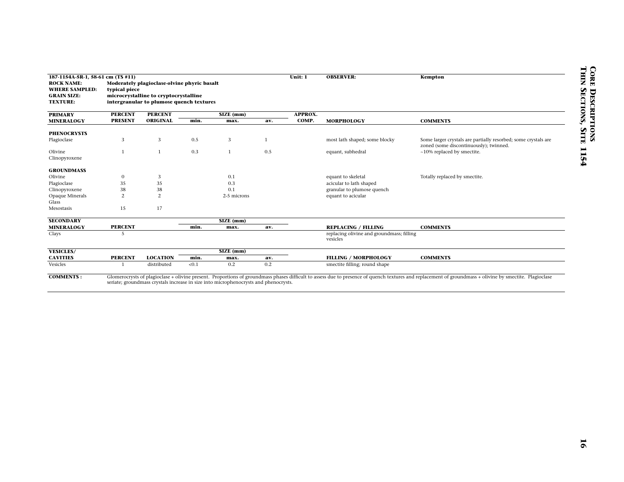| microcrystalline to cryptocrystalline<br>intergranular to plumose quench textures<br><b>TEXTURE:</b><br><b>PERCENT</b><br><b>PERCENT</b><br>$\overline{\text{SIZE (mm)}}$<br><b>PRESENT</b><br><b>ORIGINAL</b><br>min.<br>max.<br>3<br>3<br>0.5<br>3<br>$\mathbf{1}$<br>$1\,$<br>0.3<br>$\,1$<br>$\sqrt{3}$<br>$\boldsymbol{0}$<br>0.1<br>$35\,$<br>$35\,$<br>$0.3\,$<br>$38\,$<br>38<br>0.1<br>2<br>$\overline{2}$<br>2-5 microns<br>15<br>17<br>$\overline{\text{SIZE (mm)}}$<br><b>PERCENT</b><br>min.<br>max.<br>5<br>$\overline{\text{SIZE (mm)}}$<br><b>PERCENT</b><br><b>LOCATION</b><br>min.<br>max.<br>< 0.1<br>0.2<br>distributed | <b>APPROX.</b><br>COMP.<br>av.<br>1<br>0.5<br>av. | <b>MORPHOLOGY</b><br>most lath shaped; some blocky<br>equant, subhedral<br>equant to skeletal<br>acicular to lath shaped<br>granular to plumose quench<br>equant to acicular | <b>COMMENTS</b><br>Some larger crystals are partially resorbed; some crystals are<br>zoned (some discontinuously); twinned.<br>~10% replaced by smectite.<br>Totally replaced by smectite. |
|---------------------------------------------------------------------------------------------------------------------------------------------------------------------------------------------------------------------------------------------------------------------------------------------------------------------------------------------------------------------------------------------------------------------------------------------------------------------------------------------------------------------------------------------------------------------------------------------------------------------------------------------|---------------------------------------------------|------------------------------------------------------------------------------------------------------------------------------------------------------------------------------|--------------------------------------------------------------------------------------------------------------------------------------------------------------------------------------------|
| <b>PRIMARY</b><br><b>MINERALOGY</b><br>Olivine<br>Olivine<br>Clinopyroxene<br>Glass<br><b>MINERALOGY</b><br><b>CAVITIES</b>                                                                                                                                                                                                                                                                                                                                                                                                                                                                                                                 |                                                   |                                                                                                                                                                              |                                                                                                                                                                                            |
| <b>PHENOCRYSTS</b><br>Plagioclase<br>Clinopyroxene<br><b>GROUNDMASS</b><br>Plagioclase<br>Opaque Minerals<br>Mesostasis<br><b>SECONDARY</b><br>Clays<br><b>VESICLES/</b><br>Vesicles                                                                                                                                                                                                                                                                                                                                                                                                                                                        |                                                   |                                                                                                                                                                              |                                                                                                                                                                                            |
|                                                                                                                                                                                                                                                                                                                                                                                                                                                                                                                                                                                                                                             |                                                   |                                                                                                                                                                              |                                                                                                                                                                                            |
|                                                                                                                                                                                                                                                                                                                                                                                                                                                                                                                                                                                                                                             |                                                   |                                                                                                                                                                              |                                                                                                                                                                                            |
|                                                                                                                                                                                                                                                                                                                                                                                                                                                                                                                                                                                                                                             |                                                   |                                                                                                                                                                              |                                                                                                                                                                                            |
|                                                                                                                                                                                                                                                                                                                                                                                                                                                                                                                                                                                                                                             |                                                   |                                                                                                                                                                              |                                                                                                                                                                                            |
|                                                                                                                                                                                                                                                                                                                                                                                                                                                                                                                                                                                                                                             |                                                   |                                                                                                                                                                              |                                                                                                                                                                                            |
|                                                                                                                                                                                                                                                                                                                                                                                                                                                                                                                                                                                                                                             |                                                   |                                                                                                                                                                              |                                                                                                                                                                                            |
|                                                                                                                                                                                                                                                                                                                                                                                                                                                                                                                                                                                                                                             |                                                   |                                                                                                                                                                              |                                                                                                                                                                                            |
|                                                                                                                                                                                                                                                                                                                                                                                                                                                                                                                                                                                                                                             |                                                   |                                                                                                                                                                              |                                                                                                                                                                                            |
|                                                                                                                                                                                                                                                                                                                                                                                                                                                                                                                                                                                                                                             |                                                   |                                                                                                                                                                              |                                                                                                                                                                                            |
|                                                                                                                                                                                                                                                                                                                                                                                                                                                                                                                                                                                                                                             |                                                   |                                                                                                                                                                              |                                                                                                                                                                                            |
|                                                                                                                                                                                                                                                                                                                                                                                                                                                                                                                                                                                                                                             |                                                   |                                                                                                                                                                              |                                                                                                                                                                                            |
|                                                                                                                                                                                                                                                                                                                                                                                                                                                                                                                                                                                                                                             |                                                   |                                                                                                                                                                              |                                                                                                                                                                                            |
|                                                                                                                                                                                                                                                                                                                                                                                                                                                                                                                                                                                                                                             |                                                   |                                                                                                                                                                              |                                                                                                                                                                                            |
|                                                                                                                                                                                                                                                                                                                                                                                                                                                                                                                                                                                                                                             |                                                   |                                                                                                                                                                              |                                                                                                                                                                                            |
|                                                                                                                                                                                                                                                                                                                                                                                                                                                                                                                                                                                                                                             |                                                   |                                                                                                                                                                              |                                                                                                                                                                                            |
|                                                                                                                                                                                                                                                                                                                                                                                                                                                                                                                                                                                                                                             |                                                   |                                                                                                                                                                              |                                                                                                                                                                                            |
|                                                                                                                                                                                                                                                                                                                                                                                                                                                                                                                                                                                                                                             |                                                   | <b>REPLACING / FILLING</b>                                                                                                                                                   | <b>COMMENTS</b>                                                                                                                                                                            |
|                                                                                                                                                                                                                                                                                                                                                                                                                                                                                                                                                                                                                                             |                                                   | replacing olivine and groundmass; filling                                                                                                                                    |                                                                                                                                                                                            |
|                                                                                                                                                                                                                                                                                                                                                                                                                                                                                                                                                                                                                                             |                                                   | vesicles                                                                                                                                                                     |                                                                                                                                                                                            |
|                                                                                                                                                                                                                                                                                                                                                                                                                                                                                                                                                                                                                                             |                                                   |                                                                                                                                                                              |                                                                                                                                                                                            |
|                                                                                                                                                                                                                                                                                                                                                                                                                                                                                                                                                                                                                                             | av.                                               | <b>FILLING / MORPHOLOGY</b>                                                                                                                                                  | <b>COMMENTS</b>                                                                                                                                                                            |
|                                                                                                                                                                                                                                                                                                                                                                                                                                                                                                                                                                                                                                             | 0.2                                               | smectite filling; round shape                                                                                                                                                |                                                                                                                                                                                            |
| <b>COMMENTS:</b><br>Glomerocrysts of plagioclase + olivine present. Proportions of groundmass phases difficult to assess due to presence of quench textures and replacement of groundmass + olivine by smectite. Plagioclase<br>seriate; groundmass crystals increase in size into microphenocrysts and phenocrysts.                                                                                                                                                                                                                                                                                                                        |                                                   |                                                                                                                                                                              |                                                                                                                                                                                            |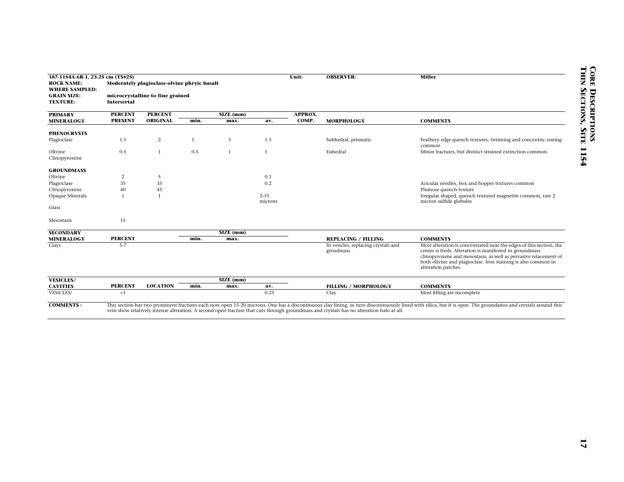| <b>ROCK NAME:</b>                                              | 187-1154A-6R-1, 23-25 cm (TS#25) | Moderately plagioclase-olvine phryic basalt |              |                               |              | Unit:          | <b>OBSERVER:</b>                                                                                                                         | <b>Miller</b>                                                                                                                                                                                                       |
|----------------------------------------------------------------|----------------------------------|---------------------------------------------|--------------|-------------------------------|--------------|----------------|------------------------------------------------------------------------------------------------------------------------------------------|---------------------------------------------------------------------------------------------------------------------------------------------------------------------------------------------------------------------|
| <b>WHERE SAMPLED:</b><br><b>GRAIN SIZE:</b><br><b>TEXTURE:</b> | <b>Intersertal</b>               | microcrystalline to fine grained            |              |                               |              |                |                                                                                                                                          |                                                                                                                                                                                                                     |
| <b>PRIMARY</b>                                                 | <b>PERCENT</b>                   | <b>PERCENT</b>                              |              | $\overline{\text{SIZE (mm)}}$ |              | <b>APPROX.</b> |                                                                                                                                          |                                                                                                                                                                                                                     |
| <b>MINERALOGY</b>                                              | <b>PRESENT</b>                   | ORIGINAL                                    | min.         | max.                          | av.          | COMP.          | <b>MORPHOLOGY</b>                                                                                                                        | <b>COMMENTS</b>                                                                                                                                                                                                     |
|                                                                |                                  |                                             |              |                               |              |                |                                                                                                                                          |                                                                                                                                                                                                                     |
| <b>PHENOCRYSTS</b>                                             |                                  |                                             |              |                               |              |                |                                                                                                                                          |                                                                                                                                                                                                                     |
| Plagioclase                                                    | 1.5                              | $\overline{c}$                              | $\mathbf{1}$ | 3                             | 1.5          |                | Subhedral, prismatic                                                                                                                     | Feathery edge quench textures, twinning and concentric zoning                                                                                                                                                       |
|                                                                | 0.5                              | $\mathbf{1}$                                | 0.5          | $\mathbf{1}$                  | $\mathbf{1}$ |                | Euhedral                                                                                                                                 | common<br>Minor fractures, but distinct strained extinction common                                                                                                                                                  |
| Olivine<br>Clinopyroxene                                       |                                  |                                             |              |                               |              |                |                                                                                                                                          |                                                                                                                                                                                                                     |
|                                                                |                                  |                                             |              |                               |              |                |                                                                                                                                          |                                                                                                                                                                                                                     |
| <b>GROUNDMASS</b>                                              |                                  |                                             |              |                               |              |                |                                                                                                                                          |                                                                                                                                                                                                                     |
| Olivine                                                        | $\overline{c}$                   | $\mathfrak{s}$                              |              |                               | 0.1          |                |                                                                                                                                          |                                                                                                                                                                                                                     |
| Plagioclase                                                    | 35                               | 35                                          |              |                               | 0.2          |                |                                                                                                                                          | Acicular needles, box and hopper textures common                                                                                                                                                                    |
| Clinopyroxene                                                  | 40                               | 45                                          |              |                               |              |                |                                                                                                                                          | Plumose quench texture                                                                                                                                                                                              |
| Opaque Minerals                                                | $\mathbf{1}$                     | $\mathbf{1}$                                |              |                               | $2 - 15$     |                |                                                                                                                                          | Irregular shaped, quench textured magnetite common, rare 2                                                                                                                                                          |
|                                                                |                                  |                                             |              |                               | microns      |                |                                                                                                                                          | micron sulfide globules                                                                                                                                                                                             |
| Glass                                                          |                                  |                                             |              |                               |              |                |                                                                                                                                          |                                                                                                                                                                                                                     |
|                                                                |                                  |                                             |              |                               |              |                |                                                                                                                                          |                                                                                                                                                                                                                     |
| Mesostasis                                                     | 15                               |                                             |              |                               |              |                |                                                                                                                                          |                                                                                                                                                                                                                     |
|                                                                |                                  |                                             |              | SIZE (mm)                     |              |                |                                                                                                                                          |                                                                                                                                                                                                                     |
| <b>SECONDARY</b><br><b>MINERALOGY</b>                          | <b>PERCENT</b>                   |                                             | min.         | max.                          |              |                | <b>REPLACING / FILLING</b>                                                                                                               | <b>COMMENTS</b>                                                                                                                                                                                                     |
| Clays                                                          | $5 - 7$                          |                                             |              |                               |              |                | In vesicles, replacing crystals and                                                                                                      | Most alteration is concentrated near the edges of this section, the                                                                                                                                                 |
|                                                                |                                  |                                             |              |                               |              |                | groudmass                                                                                                                                | center is fresh. Alteration is manifested in groundmass<br>clinopyroxene and mesostasis, as well as pervasive relacement of<br>both olivine and plagioclase. Iron staining is also common in<br>alteration patches. |
| <b>VESICLES/</b>                                               |                                  |                                             |              | $\overline{\text{SIZE (mm)}}$ |              |                |                                                                                                                                          |                                                                                                                                                                                                                     |
| <b>CAVITIES</b>                                                | <b>PERCENT</b>                   | <b>LOCATION</b>                             | min.         | max.                          | av.          |                | <b>FILLING / MORPHOLOGY</b>                                                                                                              | <b>COMMENTS</b>                                                                                                                                                                                                     |
| <b>VESICLES/</b>                                               | $<1\,$                           |                                             |              |                               | 0.25         |                | Clay                                                                                                                                     | Most filling are incomplete                                                                                                                                                                                         |
| <b>COMMENTS:</b>                                               |                                  |                                             |              |                               |              |                | vein show relatively intense alteration. A second open fracture that cuts through groundmass and crystals has no alteration halo at all. | This section has two prominent fractures each now open 15-20 microns. One has a discontinuous clay lining, in turn disconinuously lined with silica, but it is open. The groundamss and crystals around this        |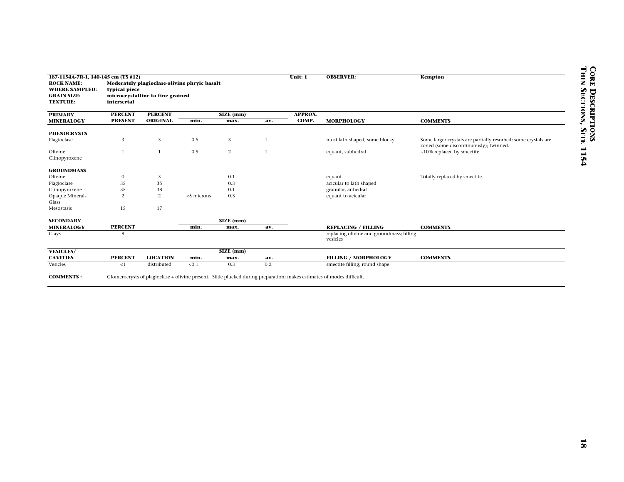| 187-1154A-7R-1, 140-145 cm (TS #12)   |                |                                              |            |                |              | Unit: 1        | <b>OBSERVER:</b>                                                                                                      | Kempton                                                        |
|---------------------------------------|----------------|----------------------------------------------|------------|----------------|--------------|----------------|-----------------------------------------------------------------------------------------------------------------------|----------------------------------------------------------------|
| <b>ROCK NAME:</b>                     |                | Moderately plagioclase-olivine phryic basalt |            |                |              |                |                                                                                                                       |                                                                |
| <b>WHERE SAMPLED:</b>                 | typical piece  |                                              |            |                |              |                |                                                                                                                       |                                                                |
| <b>GRAIN SIZE:</b>                    |                | microcrystalline to fine grained             |            |                |              |                |                                                                                                                       |                                                                |
| <b>TEXTURE:</b>                       | intersertal    |                                              |            |                |              |                |                                                                                                                       |                                                                |
| <b>PRIMARY</b>                        | <b>PERCENT</b> | <b>PERCENT</b>                               |            | SIZE (mm)      |              | <b>APPROX.</b> |                                                                                                                       |                                                                |
| <b>MINERALOGY</b>                     | <b>PRESENT</b> | <b>ORIGINAL</b>                              | min.       | max.           | av.          | COMP.          | <b>MORPHOLOGY</b>                                                                                                     | <b>COMMENTS</b>                                                |
|                                       |                |                                              |            |                |              |                |                                                                                                                       |                                                                |
| <b>PHENOCRYSTS</b>                    |                |                                              |            |                |              |                |                                                                                                                       |                                                                |
| Plagioclase                           | 3              | 3                                            | 0.5        | 3              | -1           |                | most lath shaped; some blocky                                                                                         | Some larger crystals are partially resorbed; some crystals are |
|                                       |                |                                              |            |                |              |                |                                                                                                                       | zoned (some discontinuously); twinned.                         |
| Olivine                               | $1\,$          | $\mathbf{1}$                                 | 0.5        | $\overline{c}$ | $\mathbf{1}$ |                | equant, subhedral                                                                                                     | ~10% replaced by smectite.                                     |
| Clinopyroxene                         |                |                                              |            |                |              |                |                                                                                                                       |                                                                |
|                                       |                |                                              |            |                |              |                |                                                                                                                       |                                                                |
| <b>GROUNDMASS</b>                     |                |                                              |            |                |              |                |                                                                                                                       |                                                                |
| Olivine                               | $\mathbf{0}$   | $\sqrt{3}$                                   |            | $0.1\,$        |              |                | equant                                                                                                                | Totally replaced by smectite.                                  |
| Plagioclase                           | 35             | $35\,$                                       |            | 0.3            |              |                | acicular to lath shaped                                                                                               |                                                                |
|                                       | 35             | $38\,$                                       |            | $0.1\,$        |              |                | granular, anhedral                                                                                                    |                                                                |
| Clinopyroxene                         |                |                                              |            |                |              |                |                                                                                                                       |                                                                |
| Opaque Minerals                       | $\mathbf{2}$   | $\overline{2}$                               | <5 microns | 0.3            |              |                | equant to acicular                                                                                                    |                                                                |
| Glass                                 |                |                                              |            |                |              |                |                                                                                                                       |                                                                |
| Mesostasis                            | 15             | 17                                           |            |                |              |                |                                                                                                                       |                                                                |
|                                       |                |                                              |            | SIZE (mm)      |              |                |                                                                                                                       |                                                                |
| <b>SECONDARY</b><br><b>MINERALOGY</b> | <b>PERCENT</b> |                                              | min.       | max.           | av.          |                | <b>REPLACING / FILLING</b>                                                                                            | <b>COMMENTS</b>                                                |
| Clays                                 | 8              |                                              |            |                |              |                | replacing olivine and groundmass; filling                                                                             |                                                                |
|                                       |                |                                              |            |                |              |                | vesicles                                                                                                              |                                                                |
|                                       |                |                                              |            |                |              |                |                                                                                                                       |                                                                |
| <b>VESICLES/</b>                      |                |                                              |            | SIZE (mm)      |              |                |                                                                                                                       |                                                                |
| <b>CAVITIES</b>                       | <b>PERCENT</b> | <b>LOCATION</b>                              | min.       | max.           | av.          |                | <b>FILLING / MORPHOLOGY</b>                                                                                           | <b>COMMENTS</b>                                                |
| Vesicles                              | ${<}1$         | distributed                                  | < 0.1      | 0.3            | 0.2          |                | smectite filling; round shape                                                                                         |                                                                |
|                                       |                |                                              |            |                |              |                |                                                                                                                       |                                                                |
| <b>COMMENTS:</b>                      |                |                                              |            |                |              |                | Glomerocrysts of plagioclase + olivine present. Slide plucked during preparation; makes estimates of modes difficult. |                                                                |
|                                       |                |                                              |            |                |              |                |                                                                                                                       |                                                                |
|                                       |                |                                              |            |                |              |                |                                                                                                                       |                                                                |
|                                       |                |                                              |            |                |              |                |                                                                                                                       |                                                                |
|                                       |                |                                              |            |                |              |                |                                                                                                                       |                                                                |
|                                       |                |                                              |            |                |              |                |                                                                                                                       |                                                                |
|                                       |                |                                              |            |                |              |                |                                                                                                                       |                                                                |
|                                       |                |                                              |            |                |              |                |                                                                                                                       |                                                                |
|                                       |                |                                              |            |                |              |                |                                                                                                                       |                                                                |
|                                       |                |                                              |            |                |              |                |                                                                                                                       |                                                                |
|                                       |                |                                              |            |                |              |                |                                                                                                                       |                                                                |
|                                       |                |                                              |            |                |              |                |                                                                                                                       |                                                                |
|                                       |                |                                              |            |                |              |                |                                                                                                                       |                                                                |
|                                       |                |                                              |            |                |              |                |                                                                                                                       |                                                                |
|                                       |                |                                              |            |                |              |                |                                                                                                                       |                                                                |
|                                       |                |                                              |            |                |              |                |                                                                                                                       |                                                                |
|                                       |                |                                              |            |                |              |                |                                                                                                                       |                                                                |
|                                       |                |                                              |            |                |              |                |                                                                                                                       |                                                                |
|                                       |                |                                              |            |                |              |                |                                                                                                                       |                                                                |
|                                       |                |                                              |            |                |              |                |                                                                                                                       |                                                                |
|                                       |                |                                              |            |                |              |                |                                                                                                                       |                                                                |
|                                       |                |                                              |            |                |              |                |                                                                                                                       |                                                                |
|                                       |                |                                              |            |                |              |                |                                                                                                                       |                                                                |
|                                       |                |                                              |            |                |              |                |                                                                                                                       |                                                                |
|                                       |                |                                              |            |                |              |                |                                                                                                                       |                                                                |
|                                       |                |                                              |            |                |              |                |                                                                                                                       |                                                                |
|                                       |                |                                              |            |                |              |                |                                                                                                                       |                                                                |
|                                       |                |                                              |            |                |              |                |                                                                                                                       |                                                                |
|                                       |                |                                              |            |                |              |                |                                                                                                                       |                                                                |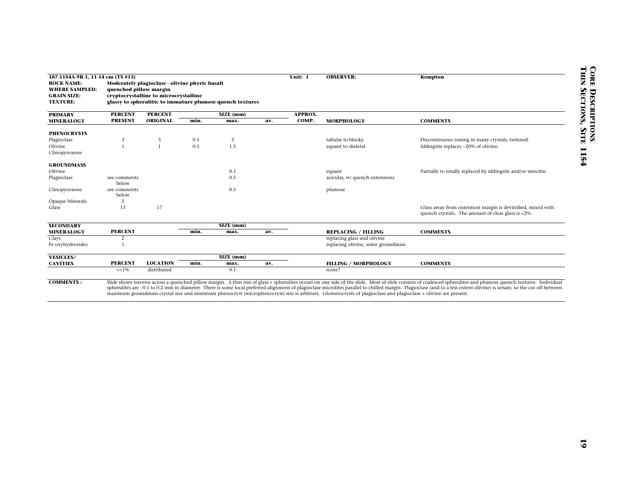| 187-1154A-9R-1, 11-14 cm (TS #13)     |                        |                                                |      |                                                           |     | Unit: 1        | <b>OBSERVER:</b>                                                                                                                                                | Kempton                                                                                                                                                                                                                 |
|---------------------------------------|------------------------|------------------------------------------------|------|-----------------------------------------------------------|-----|----------------|-----------------------------------------------------------------------------------------------------------------------------------------------------------------|-------------------------------------------------------------------------------------------------------------------------------------------------------------------------------------------------------------------------|
| <b>ROCK NAME:</b>                     |                        | Moderately plagioclase - olivine phyric basalt |      |                                                           |     |                |                                                                                                                                                                 |                                                                                                                                                                                                                         |
| <b>WHERE SAMPLED:</b>                 | quenched pillow margin |                                                |      |                                                           |     |                |                                                                                                                                                                 |                                                                                                                                                                                                                         |
| <b>GRAIN SIZE:</b><br><b>TEXTURE:</b> |                        | cryptocrystalline to microcrystalline          |      | glassy to spherulitic to immature plumose quench textures |     |                |                                                                                                                                                                 |                                                                                                                                                                                                                         |
|                                       |                        |                                                |      |                                                           |     |                |                                                                                                                                                                 |                                                                                                                                                                                                                         |
| <b>PRIMARY</b>                        | <b>PERCENT</b>         | <b>PERCENT</b>                                 |      | $SIZE$ (mm)                                               |     | <b>APPROX.</b> |                                                                                                                                                                 |                                                                                                                                                                                                                         |
| <b>MINERALOGY</b>                     | <b>PRESENT</b>         | <b>ORIGINAL</b>                                | min. | max.                                                      | av. | COMP.          | <b>MORPHOLOGY</b>                                                                                                                                               | <b>COMMENTS</b>                                                                                                                                                                                                         |
| <b>PHENOCRYSTS</b>                    |                        |                                                |      |                                                           |     |                |                                                                                                                                                                 |                                                                                                                                                                                                                         |
| Plagioclase                           | 3                      | 3                                              | 0.5  | 3                                                         |     |                | tabular to blocky                                                                                                                                               | Discontinuous zoning in many crystals; twinned.                                                                                                                                                                         |
| Olivine                               | $\mathbf{1}$           | $\mathbf{1}$                                   | 0.5  | 1.5                                                       |     |                | equant to skeletal                                                                                                                                              | Iddingsite replaces ~20% of olivine.                                                                                                                                                                                    |
| Clinopyroxene                         |                        |                                                |      |                                                           |     |                |                                                                                                                                                                 |                                                                                                                                                                                                                         |
|                                       |                        |                                                |      |                                                           |     |                |                                                                                                                                                                 |                                                                                                                                                                                                                         |
| <b>GROUNDMASS</b>                     |                        |                                                |      |                                                           |     |                |                                                                                                                                                                 |                                                                                                                                                                                                                         |
| Olivine                               |                        |                                                |      | 0.1                                                       |     |                | equant                                                                                                                                                          | Partially to totally replaced by iddingsite and/or smectite.                                                                                                                                                            |
| Plagioclase                           | see comments<br>below  |                                                |      | 0.5                                                       |     |                | acicular, w/ quench extensions                                                                                                                                  |                                                                                                                                                                                                                         |
| Clinopyroxene                         | see comments           |                                                |      | 0.5                                                       |     |                | plumose                                                                                                                                                         |                                                                                                                                                                                                                         |
|                                       | below                  |                                                |      |                                                           |     |                |                                                                                                                                                                 |                                                                                                                                                                                                                         |
| Opaque Minerals                       | 2                      |                                                |      |                                                           |     |                |                                                                                                                                                                 |                                                                                                                                                                                                                         |
| Glass                                 | 15                     | 17                                             |      |                                                           |     |                |                                                                                                                                                                 | Glass away from outermost margin is devitrified, mixed with<br>quench crystals. The amount of clear glass is <2%.                                                                                                       |
|                                       |                        |                                                |      |                                                           |     |                |                                                                                                                                                                 |                                                                                                                                                                                                                         |
| <b>SECONDARY</b>                      |                        |                                                |      | SIZE (mm)                                                 |     |                |                                                                                                                                                                 |                                                                                                                                                                                                                         |
| <b>MINERALOGY</b>                     | <b>PERCENT</b>         |                                                | min. | max.                                                      | av. |                | <b>REPLACING / FILLING</b>                                                                                                                                      | <b>COMMENTS</b>                                                                                                                                                                                                         |
| Clays                                 | 2                      |                                                |      |                                                           |     |                | replacing glass and olivine                                                                                                                                     |                                                                                                                                                                                                                         |
| Fe oxyhydroxides                      | $\mathbf{1}$           |                                                |      |                                                           |     |                | replacing olivine, some groundmass                                                                                                                              |                                                                                                                                                                                                                         |
| <b>VESICLES/</b>                      |                        |                                                |      | SIZE (mm)                                                 |     |                |                                                                                                                                                                 |                                                                                                                                                                                                                         |
| <b>CAVITIES</b>                       | <b>PERCENT</b>         | <b>LOCATION</b>                                | min. | max.                                                      | av. |                | <b>FILLING / MORPHOLOGY</b>                                                                                                                                     | <b>COMMENTS</b>                                                                                                                                                                                                         |
|                                       | $<< 1\%$               | distributed                                    |      | 0.1                                                       |     |                | none?                                                                                                                                                           |                                                                                                                                                                                                                         |
|                                       |                        |                                                |      |                                                           |     |                |                                                                                                                                                                 |                                                                                                                                                                                                                         |
| <b>COMMENTS:</b>                      |                        |                                                |      |                                                           |     |                |                                                                                                                                                                 | Slide shows traverse across a quenched pillow margin. A thin rim of glass + spherulites occurs on one side of the slide. Most of slide consists of coalesced spherulites and plumose quench textures. Individual        |
|                                       |                        |                                                |      |                                                           |     |                | maximum groundmass crystal size and minimum phenocryst (microphenocryst) size is arbitrary. Glomerocrysts of plagioclase and plagioclase + olivine are present. | spherulites are ~0.1 to 0.2 mm in diameter. There is some local preferred alignment of plagioclase microlites parallel to chilled margin. Plagioclase (and to a less extent olivine) is seriate, so the cut off between |
|                                       |                        |                                                |      |                                                           |     |                |                                                                                                                                                                 |                                                                                                                                                                                                                         |
|                                       |                        |                                                |      |                                                           |     |                |                                                                                                                                                                 |                                                                                                                                                                                                                         |
|                                       |                        |                                                |      |                                                           |     |                |                                                                                                                                                                 |                                                                                                                                                                                                                         |
|                                       |                        |                                                |      |                                                           |     |                |                                                                                                                                                                 |                                                                                                                                                                                                                         |
|                                       |                        |                                                |      |                                                           |     |                |                                                                                                                                                                 |                                                                                                                                                                                                                         |
|                                       |                        |                                                |      |                                                           |     |                |                                                                                                                                                                 |                                                                                                                                                                                                                         |
|                                       |                        |                                                |      |                                                           |     |                |                                                                                                                                                                 |                                                                                                                                                                                                                         |
|                                       |                        |                                                |      |                                                           |     |                |                                                                                                                                                                 |                                                                                                                                                                                                                         |
|                                       |                        |                                                |      |                                                           |     |                |                                                                                                                                                                 |                                                                                                                                                                                                                         |
|                                       |                        |                                                |      |                                                           |     |                |                                                                                                                                                                 |                                                                                                                                                                                                                         |
|                                       |                        |                                                |      |                                                           |     |                |                                                                                                                                                                 |                                                                                                                                                                                                                         |
|                                       |                        |                                                |      |                                                           |     |                |                                                                                                                                                                 |                                                                                                                                                                                                                         |
|                                       |                        |                                                |      |                                                           |     |                |                                                                                                                                                                 |                                                                                                                                                                                                                         |
|                                       |                        |                                                |      |                                                           |     |                |                                                                                                                                                                 |                                                                                                                                                                                                                         |
|                                       |                        |                                                |      |                                                           |     |                |                                                                                                                                                                 |                                                                                                                                                                                                                         |
|                                       |                        |                                                |      |                                                           |     |                |                                                                                                                                                                 |                                                                                                                                                                                                                         |
|                                       |                        |                                                |      |                                                           |     |                |                                                                                                                                                                 |                                                                                                                                                                                                                         |
|                                       |                        |                                                |      |                                                           |     |                |                                                                                                                                                                 |                                                                                                                                                                                                                         |
|                                       |                        |                                                |      |                                                           |     |                |                                                                                                                                                                 |                                                                                                                                                                                                                         |
|                                       |                        |                                                |      |                                                           |     |                |                                                                                                                                                                 |                                                                                                                                                                                                                         |
|                                       |                        |                                                |      |                                                           |     |                |                                                                                                                                                                 |                                                                                                                                                                                                                         |
|                                       |                        |                                                |      |                                                           |     |                |                                                                                                                                                                 |                                                                                                                                                                                                                         |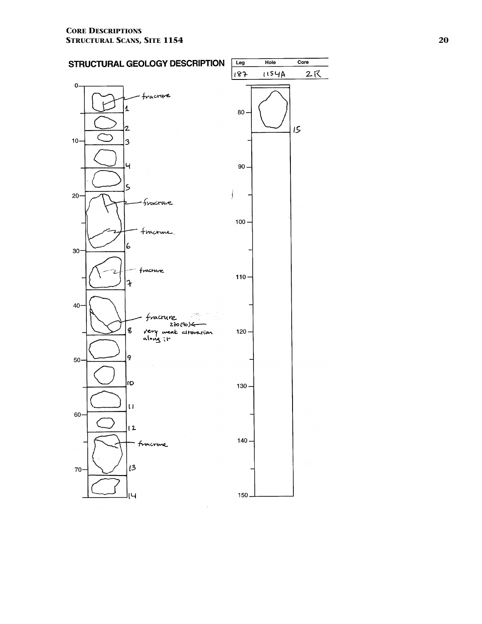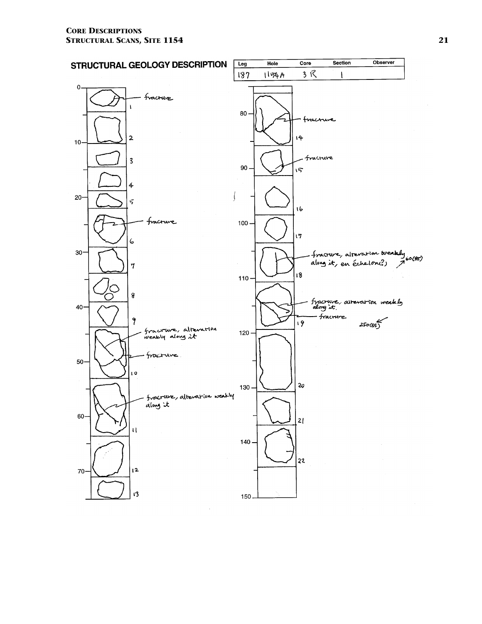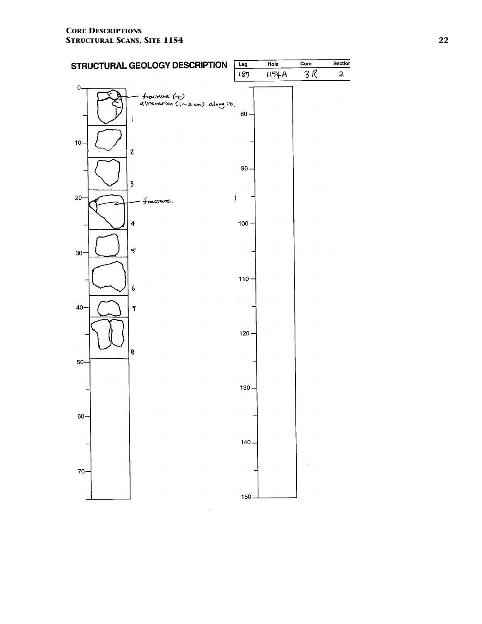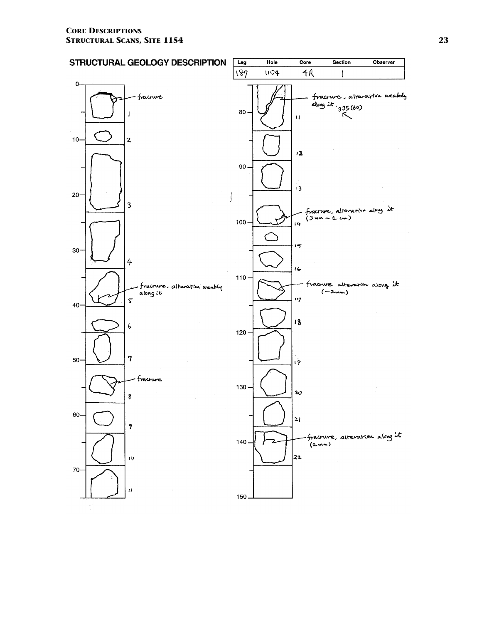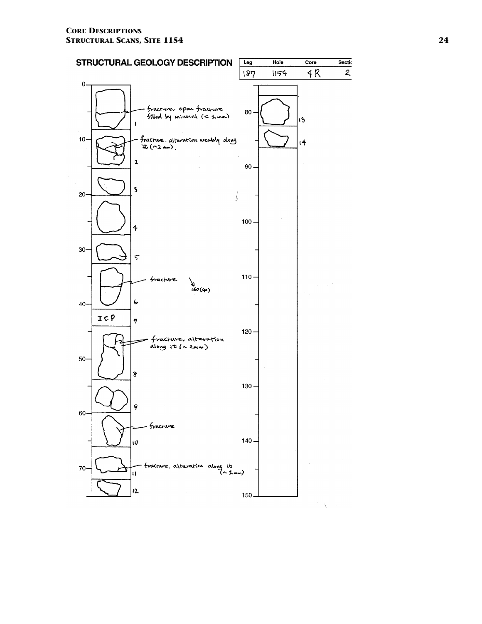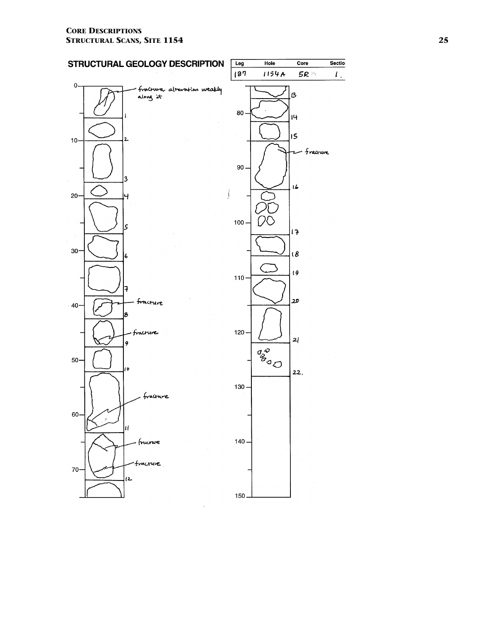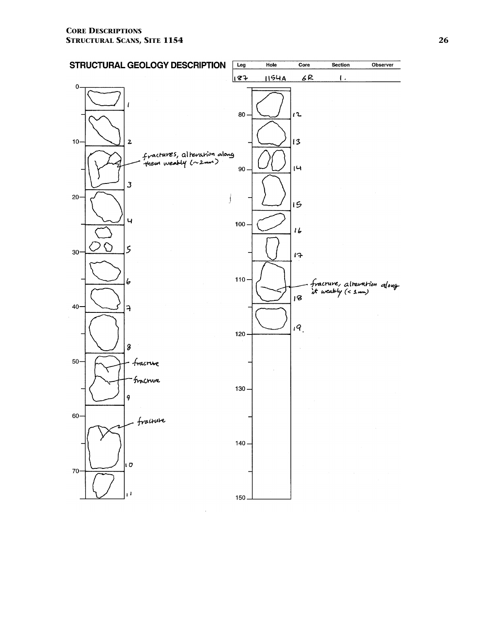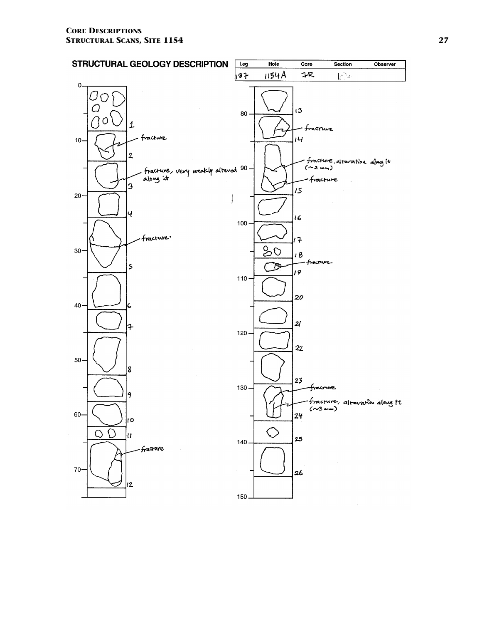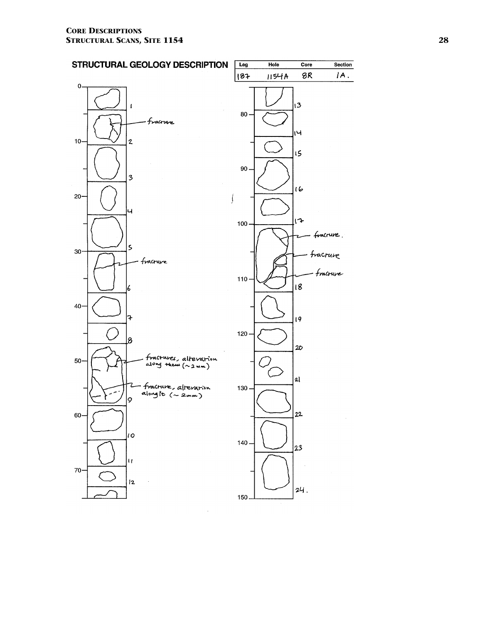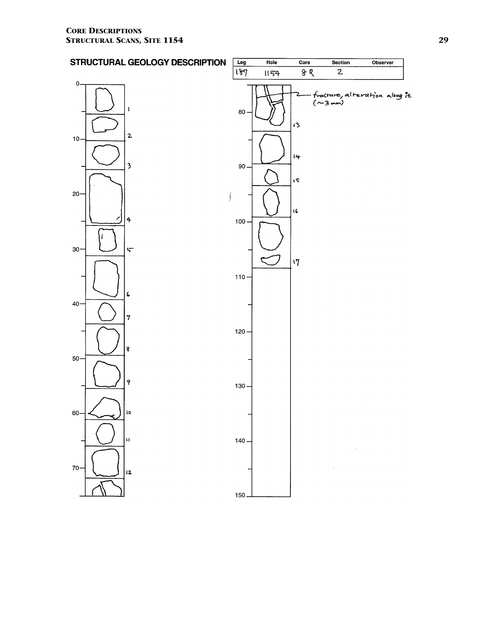